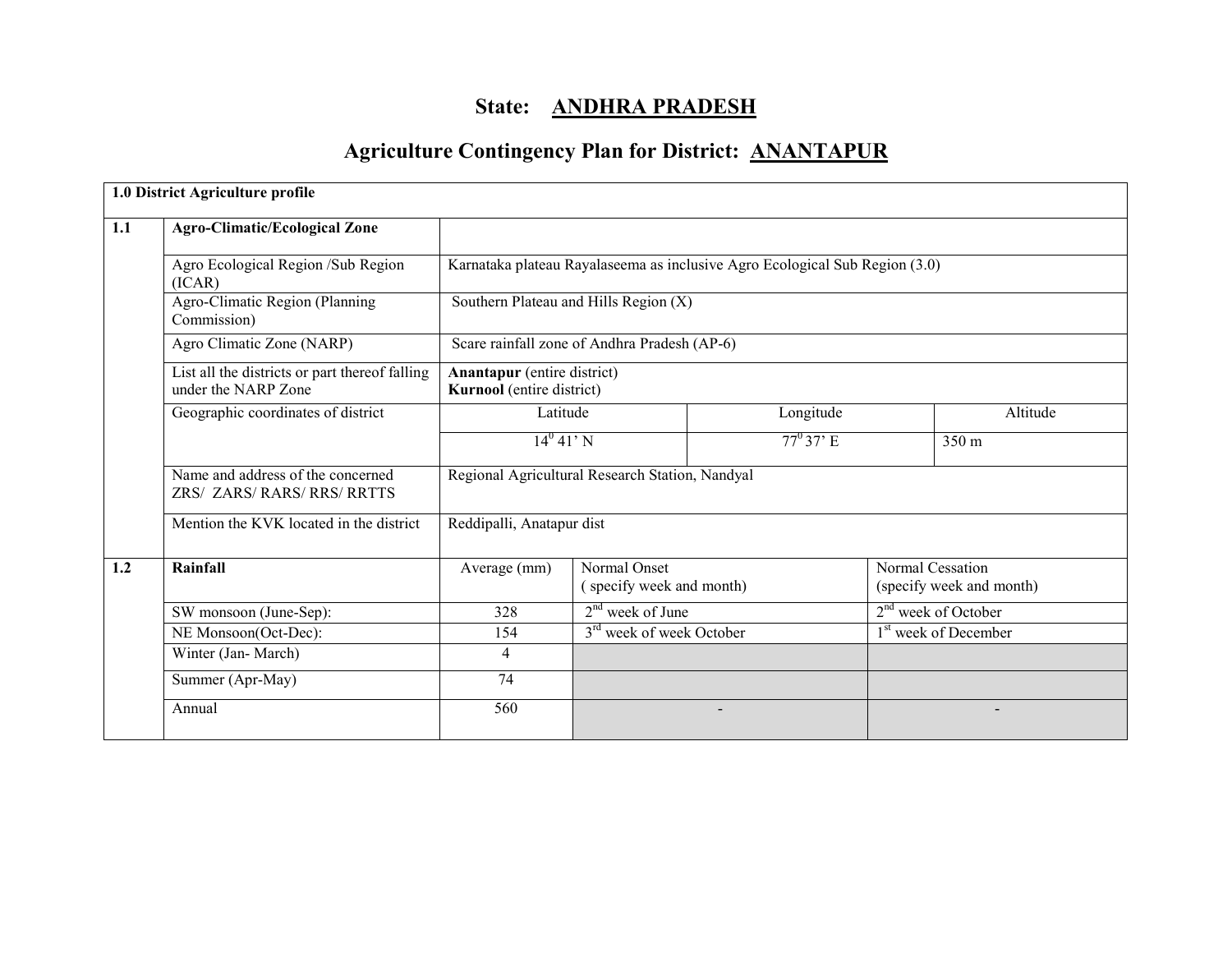# State: ANDHRA PRADESH

# Agriculture Contingency Plan for District: ANANTAPUR

|     | 1.0 District Agriculture profile                                      |                                                                 |                                          |                                                                             |  |                                              |
|-----|-----------------------------------------------------------------------|-----------------------------------------------------------------|------------------------------------------|-----------------------------------------------------------------------------|--|----------------------------------------------|
| 1.1 | <b>Agro-Climatic/Ecological Zone</b>                                  |                                                                 |                                          |                                                                             |  |                                              |
|     | Agro Ecological Region /Sub Region<br>(ICAR)                          |                                                                 |                                          | Karnataka plateau Rayalaseema as inclusive Agro Ecological Sub Region (3.0) |  |                                              |
|     | Agro-Climatic Region (Planning<br>Commission)                         | Southern Plateau and Hills Region (X)                           |                                          |                                                                             |  |                                              |
|     | Agro Climatic Zone (NARP)                                             | Scare rainfall zone of Andhra Pradesh (AP-6)                    |                                          |                                                                             |  |                                              |
|     | List all the districts or part thereof falling<br>under the NARP Zone | <b>Anantapur</b> (entire district)<br>Kurnool (entire district) |                                          |                                                                             |  |                                              |
|     | Geographic coordinates of district                                    | Latitude                                                        |                                          | Longitude                                                                   |  | Altitude                                     |
|     |                                                                       | $14^0 41' N$                                                    |                                          | $77^{\circ}37^{\circ}$ E                                                    |  | 350 <sub>m</sub>                             |
|     | Name and address of the concerned<br>ZRS/ ZARS/ RARS/ RRS/ RRTTS      | Regional Agricultural Research Station, Nandyal                 |                                          |                                                                             |  |                                              |
|     | Mention the KVK located in the district                               | Reddipalli, Anatapur dist                                       |                                          |                                                                             |  |                                              |
| 1.2 | Rainfall                                                              | Average (mm)                                                    | Normal Onset<br>(specify week and month) |                                                                             |  | Normal Cessation<br>(specify week and month) |
|     | SW monsoon (June-Sep):                                                | 328                                                             | $2nd$ week of June                       |                                                                             |  | $2nd$ week of October                        |
|     | NE Monsoon(Oct-Dec):                                                  | 154                                                             | 3 <sup>rd</sup> week of week October     |                                                                             |  | 1 <sup>st</sup> week of December             |
|     | Winter (Jan-March)                                                    | $\overline{4}$                                                  |                                          |                                                                             |  |                                              |
|     | Summer (Apr-May)                                                      | 74                                                              |                                          |                                                                             |  |                                              |
|     | Annual                                                                | 560                                                             |                                          |                                                                             |  |                                              |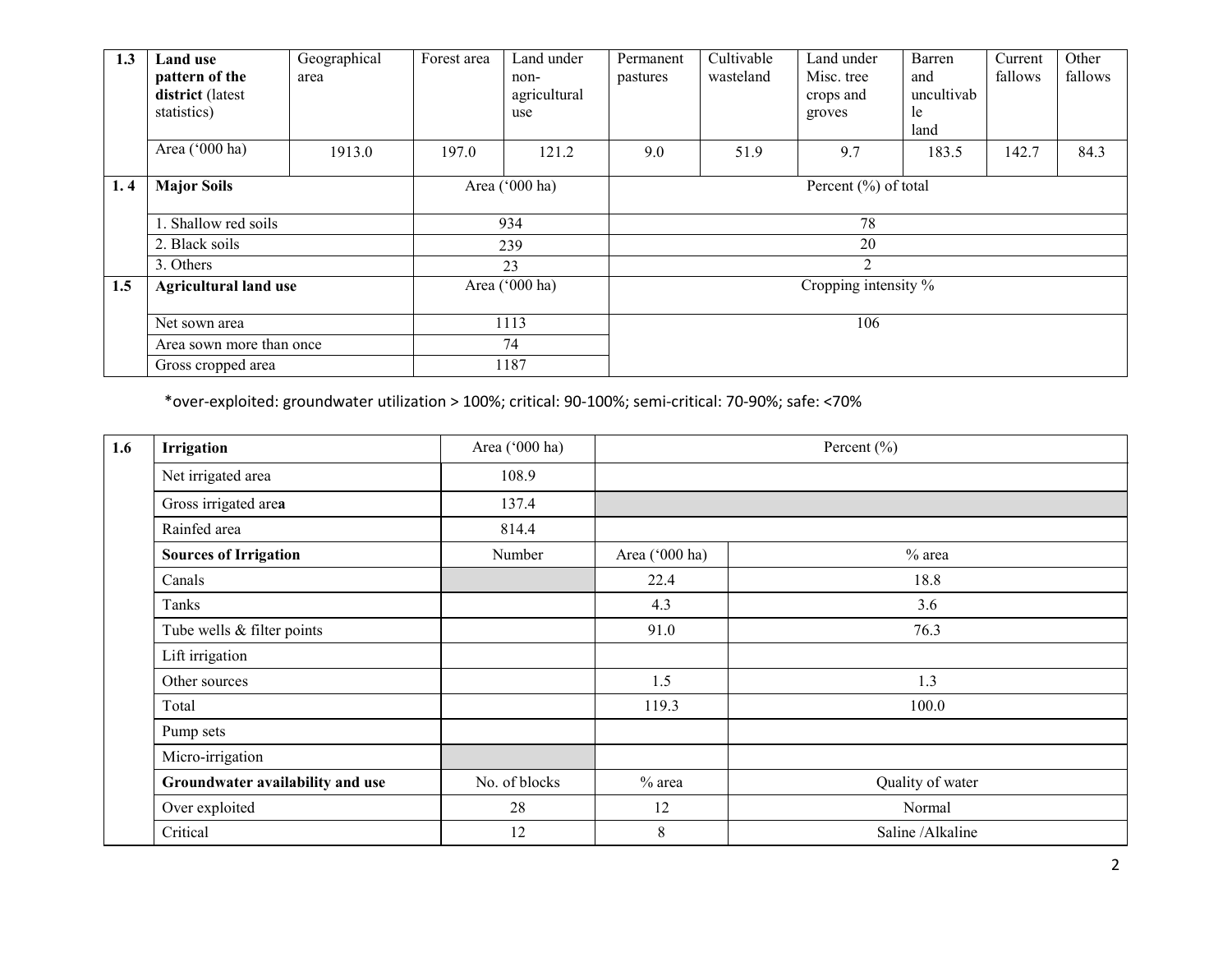| 1.3 | <b>Land use</b><br>pattern of the<br>district (latest<br>statistics) | Geographical<br>area | Forest area    | Land under<br>non-<br>agricultural<br>use | Permanent<br>pastures    | Cultivable<br>wasteland | Land under<br>Misc. tree<br>crops and<br>groves | Barren<br>and<br>uncultivab<br>le<br>land | Current<br>fallows | Other<br>fallows |
|-----|----------------------------------------------------------------------|----------------------|----------------|-------------------------------------------|--------------------------|-------------------------|-------------------------------------------------|-------------------------------------------|--------------------|------------------|
|     | Area ('000 ha)                                                       | 1913.0               | 197.0          | 121.2                                     | 9.0                      | 51.9                    | 9.7                                             | 183.5                                     | 142.7              | 84.3             |
| 1.4 | <b>Major Soils</b>                                                   |                      | Area ('000 ha) |                                           | Percent $(\% )$ of total |                         |                                                 |                                           |                    |                  |
|     | . Shallow red soils                                                  |                      | 934            |                                           | 78                       |                         |                                                 |                                           |                    |                  |
|     | 2. Black soils                                                       |                      | 239            |                                           | 20                       |                         |                                                 |                                           |                    |                  |
|     | 3. Others                                                            |                      |                | 23                                        | 2                        |                         |                                                 |                                           |                    |                  |
| 1.5 | <b>Agricultural land use</b>                                         |                      |                | Area ('000 ha)                            |                          |                         | Cropping intensity %                            |                                           |                    |                  |
|     | Net sown area                                                        |                      | 1113           |                                           |                          |                         | 106                                             |                                           |                    |                  |
|     | Area sown more than once                                             |                      | 74             |                                           |                          |                         |                                                 |                                           |                    |                  |
|     | Gross cropped area                                                   |                      |                | 1187                                      |                          |                         |                                                 |                                           |                    |                  |

\*over-exploited: groundwater utilization > 100%; critical: 90-100%; semi-critical: 70-90%; safe: <70%

| 1.6 | <b>Irrigation</b>                | Area ('000 ha) |                | Percent $(\% )$   |
|-----|----------------------------------|----------------|----------------|-------------------|
|     | Net irrigated area               | 108.9          |                |                   |
|     | Gross irrigated area             | 137.4          |                |                   |
|     | Rainfed area                     | 814.4          |                |                   |
|     | <b>Sources of Irrigation</b>     | Number         | Area ('000 ha) | $%$ area          |
|     | Canals                           |                | 22.4           | 18.8              |
|     | Tanks                            |                | 4.3            | 3.6               |
|     | Tube wells $&$ filter points     |                | 91.0           | 76.3              |
|     | Lift irrigation                  |                |                |                   |
|     | Other sources                    |                | 1.5            | 1.3               |
|     | Total                            |                | 119.3          | 100.0             |
|     | Pump sets                        |                |                |                   |
|     | Micro-irrigation                 |                |                |                   |
|     | Groundwater availability and use | No. of blocks  | $%$ area       | Quality of water  |
|     | Over exploited                   | 28             | 12             | Normal            |
|     | Critical                         | 12             | 8              | Saline / Alkaline |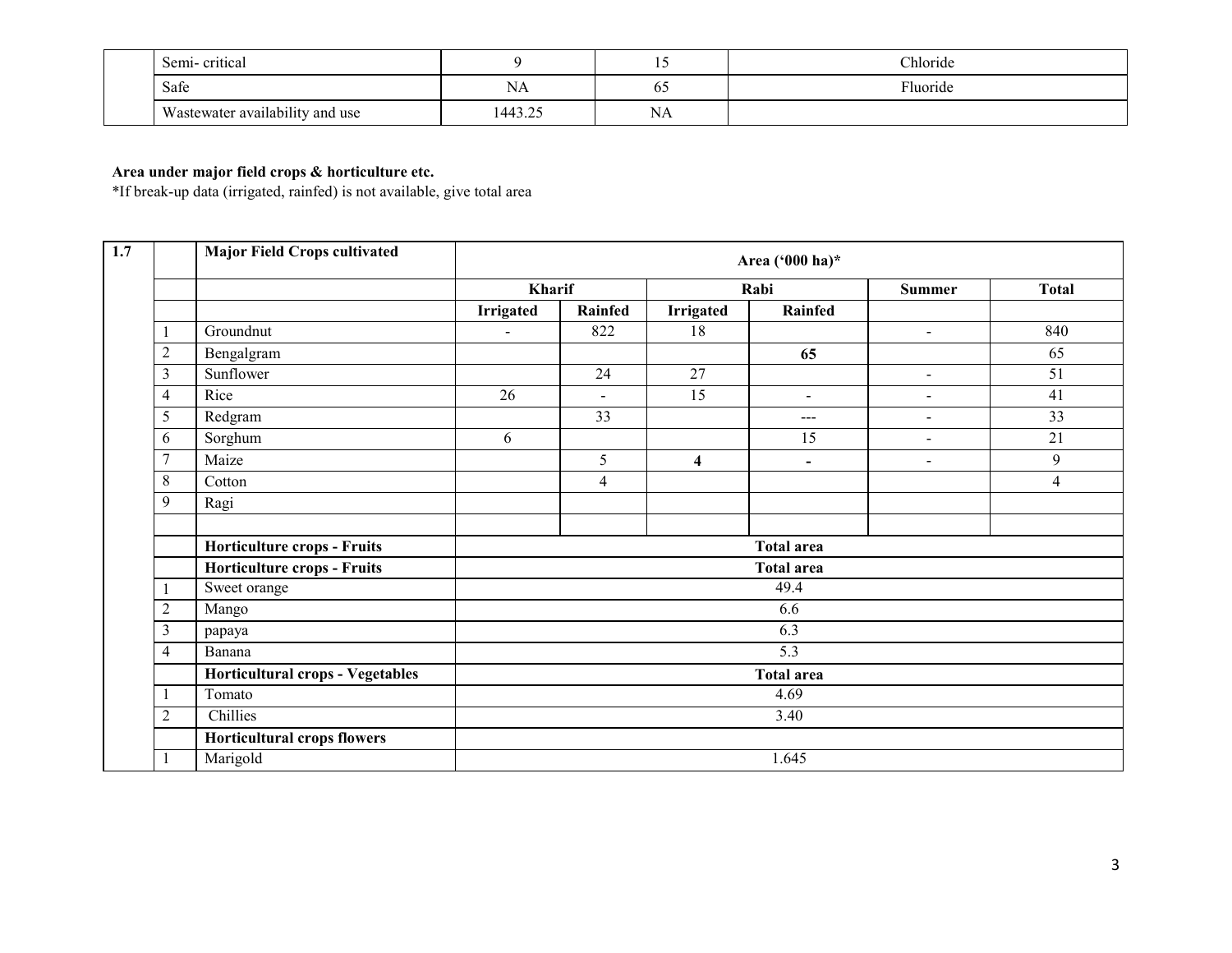|  | Semi-critical                   |         | . .       | Chloride |
|--|---------------------------------|---------|-----------|----------|
|  | Safe                            | NA      | 02        | Fluoride |
|  | Wastewater availability and use | 1443.25 | <b>NA</b> |          |

# Area under major field crops & horticulture etc.

\*If break-up data (irrigated, rainfed) is not available, give total area

|                | <b>Major Field Crops cultivated</b> |                  |                |                         | Area ('000 ha)*   |                |                |
|----------------|-------------------------------------|------------------|----------------|-------------------------|-------------------|----------------|----------------|
|                |                                     | Kharif           |                |                         | Rabi              | <b>Summer</b>  | <b>Total</b>   |
|                |                                     | <b>Irrigated</b> | Rainfed        | <b>Irrigated</b>        | Rainfed           |                |                |
|                | Groundnut                           |                  | 822            | $\overline{18}$         |                   | $\blacksquare$ | 840            |
| $\overline{2}$ | Bengalgram                          |                  |                |                         | 65                |                | 65             |
| 3              | Sunflower                           |                  | 24             | 27                      |                   | $\blacksquare$ | 51             |
| 4              | Rice                                | 26               | $\sim$         | 15                      | $\sim$            | $\blacksquare$ | 41             |
| 5              | Redgram                             |                  | 33             |                         | $\qquad \qquad -$ | $\blacksquare$ | 33             |
| 6              | Sorghum                             | 6                |                |                         | 15                | $\sim$         | 21             |
| $\overline{7}$ | Maize                               |                  | 5              | $\overline{\mathbf{4}}$ | $\blacksquare$    | $\blacksquare$ | 9              |
| 8              | Cotton                              |                  | $\overline{4}$ |                         |                   |                | $\overline{4}$ |
| 9              | Ragi                                |                  |                |                         |                   |                |                |
|                | Horticulture crops - Fruits         |                  |                |                         | <b>Total area</b> |                |                |
|                | Horticulture crops - Fruits         |                  |                |                         | <b>Total area</b> |                |                |
|                | Sweet orange                        |                  |                |                         | 49.4              |                |                |
| $\overline{2}$ | Mango                               |                  |                |                         | 6.6               |                |                |
| $\mathfrak{Z}$ | papaya                              |                  |                |                         | 6.3               |                |                |
| $\overline{4}$ | Banana                              |                  |                |                         | 5.3               |                |                |
|                | Horticultural crops - Vegetables    |                  |                |                         | <b>Total area</b> |                |                |
|                | Tomato                              |                  |                |                         | 4.69              |                |                |
| $\overline{2}$ | Chillies                            |                  |                |                         | 3.40              |                |                |
|                | <b>Horticultural crops flowers</b>  |                  |                |                         |                   |                |                |
|                | Marigold                            |                  |                |                         | 1.645             |                |                |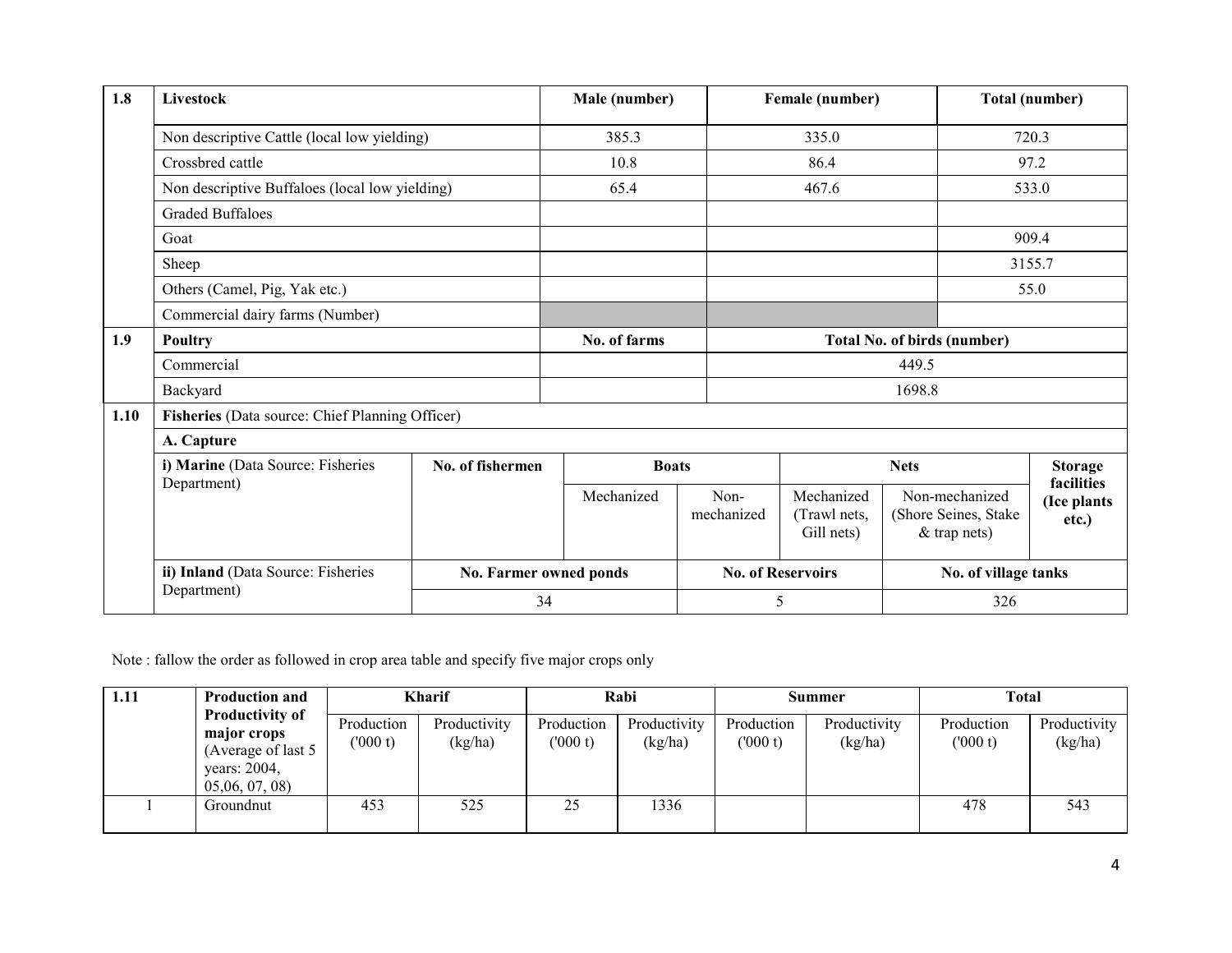| 1.8  | Livestock                                                    |                  | Male (number) |                    | Female (number)                          |                                                          | <b>Total (number)</b>              |  |
|------|--------------------------------------------------------------|------------------|---------------|--------------------|------------------------------------------|----------------------------------------------------------|------------------------------------|--|
|      | Non descriptive Cattle (local low yielding)                  |                  | 385.3         |                    | 335.0                                    |                                                          | 720.3                              |  |
|      | Crossbred cattle                                             |                  | 10.8          |                    | 86.4                                     |                                                          | 97.2                               |  |
|      | Non descriptive Buffaloes (local low yielding)               |                  | 65.4          |                    | 467.6                                    |                                                          | 533.0                              |  |
|      | <b>Graded Buffaloes</b>                                      |                  |               |                    |                                          |                                                          |                                    |  |
|      | Goat                                                         |                  |               |                    |                                          |                                                          | 909.4                              |  |
|      | Sheep<br>Others (Camel, Pig, Yak etc.)                       |                  |               |                    |                                          |                                                          | 3155.7                             |  |
|      |                                                              |                  |               |                    |                                          |                                                          | 55.0                               |  |
|      | Commercial dairy farms (Number)                              |                  |               |                    |                                          |                                                          |                                    |  |
| 1.9  | Poultry                                                      |                  | No. of farms  |                    |                                          | <b>Total No. of birds (number)</b>                       |                                    |  |
|      | Commercial                                                   |                  |               |                    |                                          | 449.5                                                    |                                    |  |
|      | Backyard                                                     |                  |               |                    |                                          | 1698.8                                                   |                                    |  |
| 1.10 | Fisheries (Data source: Chief Planning Officer)              |                  |               |                    |                                          |                                                          |                                    |  |
|      | A. Capture                                                   |                  |               |                    |                                          |                                                          |                                    |  |
|      | i) Marine (Data Source: Fisheries                            | No. of fishermen | <b>Boats</b>  |                    |                                          | <b>Nets</b>                                              | <b>Storage</b>                     |  |
|      | Department)                                                  |                  | Mechanized    | Non-<br>mechanized | Mechanized<br>(Trawl nets,<br>Gill nets) | Non-mechanized<br>(Shore Seines, Stake<br>$&$ trap nets) | facilities<br>(Ice plants<br>etc.) |  |
|      | ii) Inland (Data Source: Fisheries<br>No. Farmer owned ponds |                  |               |                    | <b>No. of Reservoirs</b>                 |                                                          | No. of village tanks               |  |
|      | Department)                                                  | 34               |               |                    | 5                                        | 326                                                      |                                    |  |

Note : fallow the order as followed in crop area table and specify five major crops only

| 1.11 | <b>Production and</b>                                                                       | Kharif                 |                         | Rabi                  |                         | Summer                |                         | Total                 |                         |
|------|---------------------------------------------------------------------------------------------|------------------------|-------------------------|-----------------------|-------------------------|-----------------------|-------------------------|-----------------------|-------------------------|
|      | <b>Productivity of</b><br>major crops<br>(Average of last 5)<br>years: 2004,<br>05,06,07,08 | Production<br>(1000 t) | Productivity<br>(kg/ha) | Production<br>(000 t) | Productivity<br>(kg/ha) | Production<br>(000 t) | Productivity<br>(kg/ha) | Production<br>(000 t) | Productivity<br>(kg/ha) |
|      | Groundnut                                                                                   | 453                    | 525                     | 25                    | 1336                    |                       |                         | 478                   | 543                     |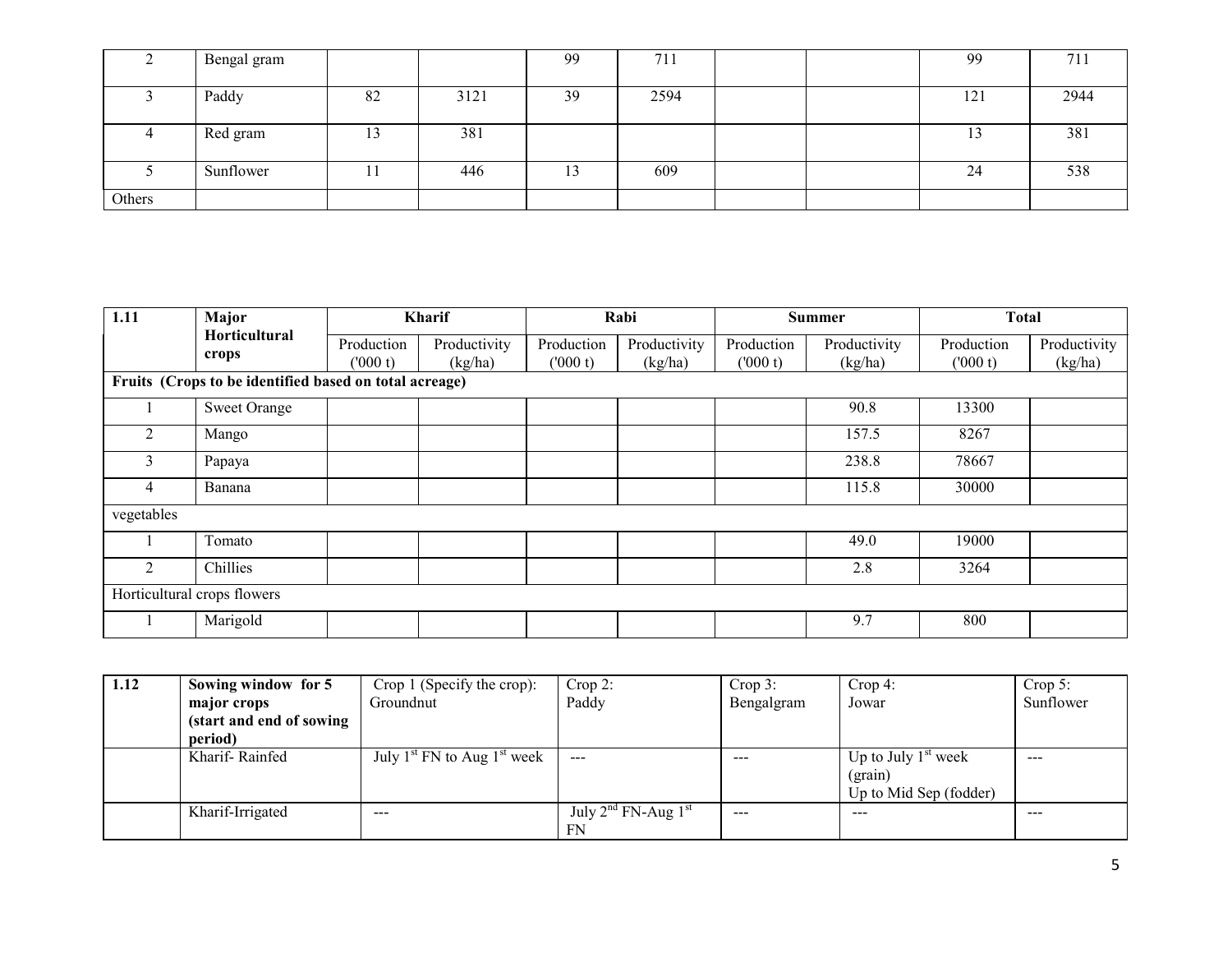|        | Bengal gram |    |      | 99 | 711  |  | 99  | 711  |
|--------|-------------|----|------|----|------|--|-----|------|
|        | Paddy       | 82 | 3121 | 39 | 2594 |  | 121 | 2944 |
|        | Red gram    |    | 381  |    |      |  | 13  | 381  |
|        | Sunflower   |    | 446  | 13 | 609  |  | 24  | 538  |
| Others |             |    |      |    |      |  |     |      |

| 1.11           | <b>Major</b>                                           |                       | <b>Kharif</b>           |                       | Rabi                    |                       | <b>Summer</b>           | <b>Total</b>          |                         |  |
|----------------|--------------------------------------------------------|-----------------------|-------------------------|-----------------------|-------------------------|-----------------------|-------------------------|-----------------------|-------------------------|--|
|                | Horticultural<br>crops                                 | Production<br>(000 t) | Productivity<br>(kg/ha) | Production<br>(000 t) | Productivity<br>(kg/ha) | Production<br>(000 t) | Productivity<br>(kg/ha) | Production<br>(000 t) | Productivity<br>(kg/ha) |  |
|                | Fruits (Crops to be identified based on total acreage) |                       |                         |                       |                         |                       |                         |                       |                         |  |
|                | <b>Sweet Orange</b>                                    |                       |                         |                       |                         |                       | 90.8                    | 13300                 |                         |  |
| 2              | Mango                                                  |                       |                         |                       |                         |                       | 157.5                   | 8267                  |                         |  |
| 3              | Papaya                                                 |                       |                         |                       |                         |                       | 238.8                   | 78667                 |                         |  |
| $\overline{4}$ | Banana                                                 |                       |                         |                       |                         |                       | 115.8                   | 30000                 |                         |  |
| vegetables     |                                                        |                       |                         |                       |                         |                       |                         |                       |                         |  |
|                | Tomato                                                 |                       |                         |                       |                         |                       | 49.0                    | 19000                 |                         |  |
| $\mathfrak{D}$ | Chillies                                               |                       |                         |                       |                         |                       | 2.8                     | 3264                  |                         |  |
|                | Horticultural crops flowers                            |                       |                         |                       |                         |                       |                         |                       |                         |  |
|                | Marigold                                               |                       |                         |                       |                         |                       | 9.7                     | 800                   |                         |  |

| 1.12 | Sowing window for 5       | Crop 1 (Specify the crop):      | $Crop 2$ :                    | $Crop 3$ : | $Crop 4$ :             | Crop 5:   |
|------|---------------------------|---------------------------------|-------------------------------|------------|------------------------|-----------|
|      | major crops               | Groundnut                       | Paddy                         | Bengalgram | Jowar                  | Sunflower |
|      | (start and end of sowing) |                                 |                               |            |                        |           |
|      | period)                   |                                 |                               |            |                        |           |
|      | Kharif-Rainfed            | July $1st$ FN to Aug $1st$ week | $-$ – $-$                     | $- - -$    | Up to July $1st$ week  | $- - -$   |
|      |                           |                                 |                               |            | $($ grain $)$          |           |
|      |                           |                                 |                               |            | Up to Mid Sep (fodder) |           |
|      | Kharif-Irrigated          | $-- -$                          | July $2^{nd}$ FN-Aug $1^{st}$ | $- - -$    | $- - -$                | $- - -$   |
|      |                           |                                 | FN                            |            |                        |           |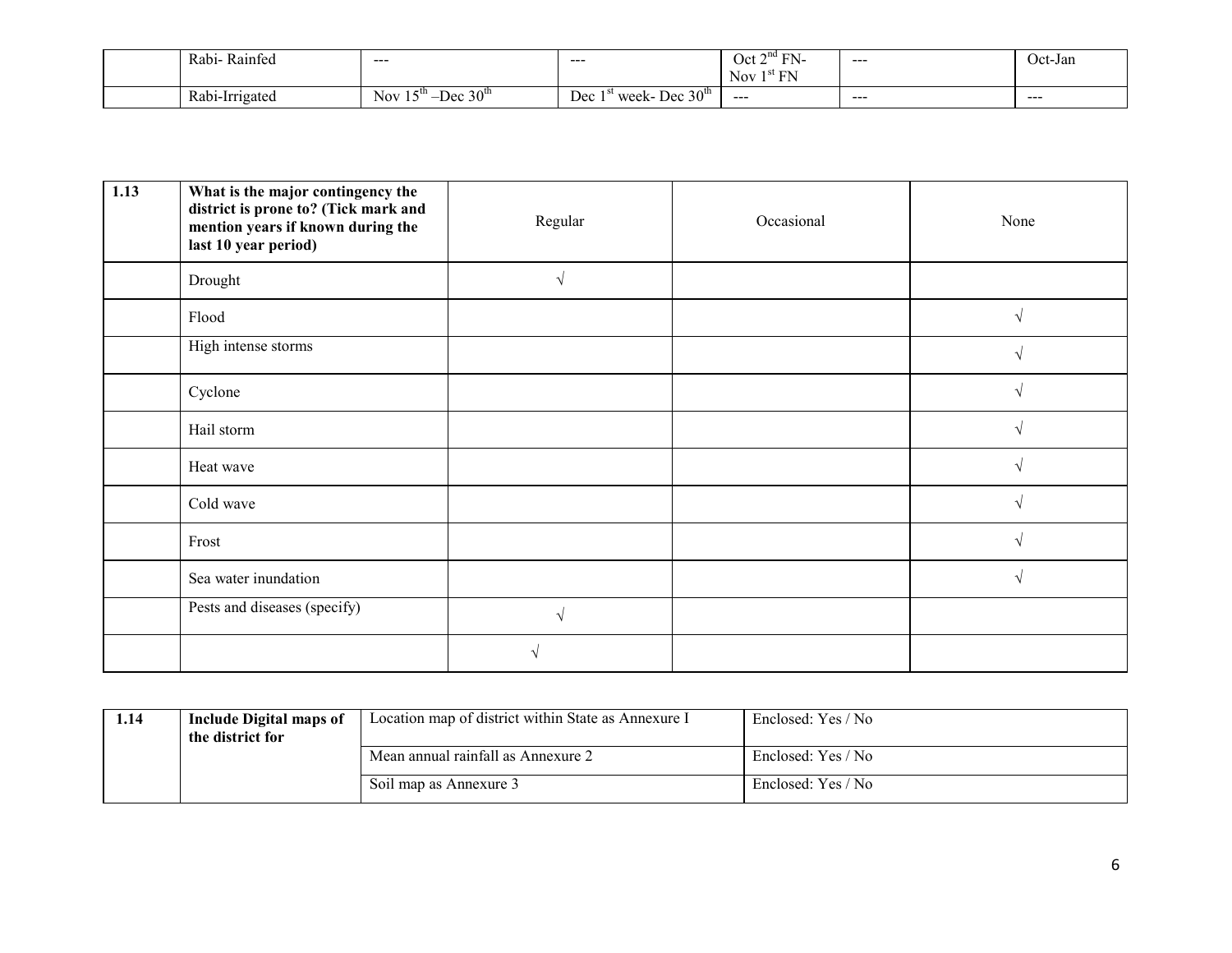|  | Rabi-<br>$\mathbf{r}$<br>Rainfed | $- - -$                                                   | ----                                        | EN.<br>$\sim$ $\sim$<br>ገ⊿+<br>EN<br>$\mathbf{r}$<br>N <sub>ov</sub><br>. . | ----    | Jct-Jan |
|--|----------------------------------|-----------------------------------------------------------|---------------------------------------------|-----------------------------------------------------------------------------|---------|---------|
|  | Rabi-Irrigated<br>. .            | Nov.<br>$\gamma$ $\Lambda$ li<br>. C 117<br>$\Gamma$<br>— | Dec.<br>30 <sup>m</sup><br>Dec<br>week<br>- | $- - -$                                                                     | $- - -$ | $- - -$ |

| 1.13 | What is the major contingency the<br>district is prone to? (Tick mark and<br>mention years if known during the<br>last 10 year period) | Regular    | Occasional | None |
|------|----------------------------------------------------------------------------------------------------------------------------------------|------------|------------|------|
|      | Drought                                                                                                                                | $\sqrt{ }$ |            |      |
|      | Flood                                                                                                                                  |            |            |      |
|      | High intense storms                                                                                                                    |            |            |      |
|      | Cyclone                                                                                                                                |            |            |      |
|      | Hail storm                                                                                                                             |            |            |      |
|      | Heat wave                                                                                                                              |            |            |      |
|      | Cold wave                                                                                                                              |            |            |      |
|      | Frost                                                                                                                                  |            |            |      |
|      | Sea water inundation                                                                                                                   |            |            |      |
|      | Pests and diseases (specify)                                                                                                           | N          |            |      |
|      |                                                                                                                                        |            |            |      |

| 1.14 | Include Digital maps of<br>the district for | Location map of district within State as Annexure I | Enclosed: Yes / No |
|------|---------------------------------------------|-----------------------------------------------------|--------------------|
|      |                                             | Mean annual rainfall as Annexure 2                  | Enclosed: Yes / No |
|      |                                             | Soil map as Annexure 3                              | Enclosed: Yes / No |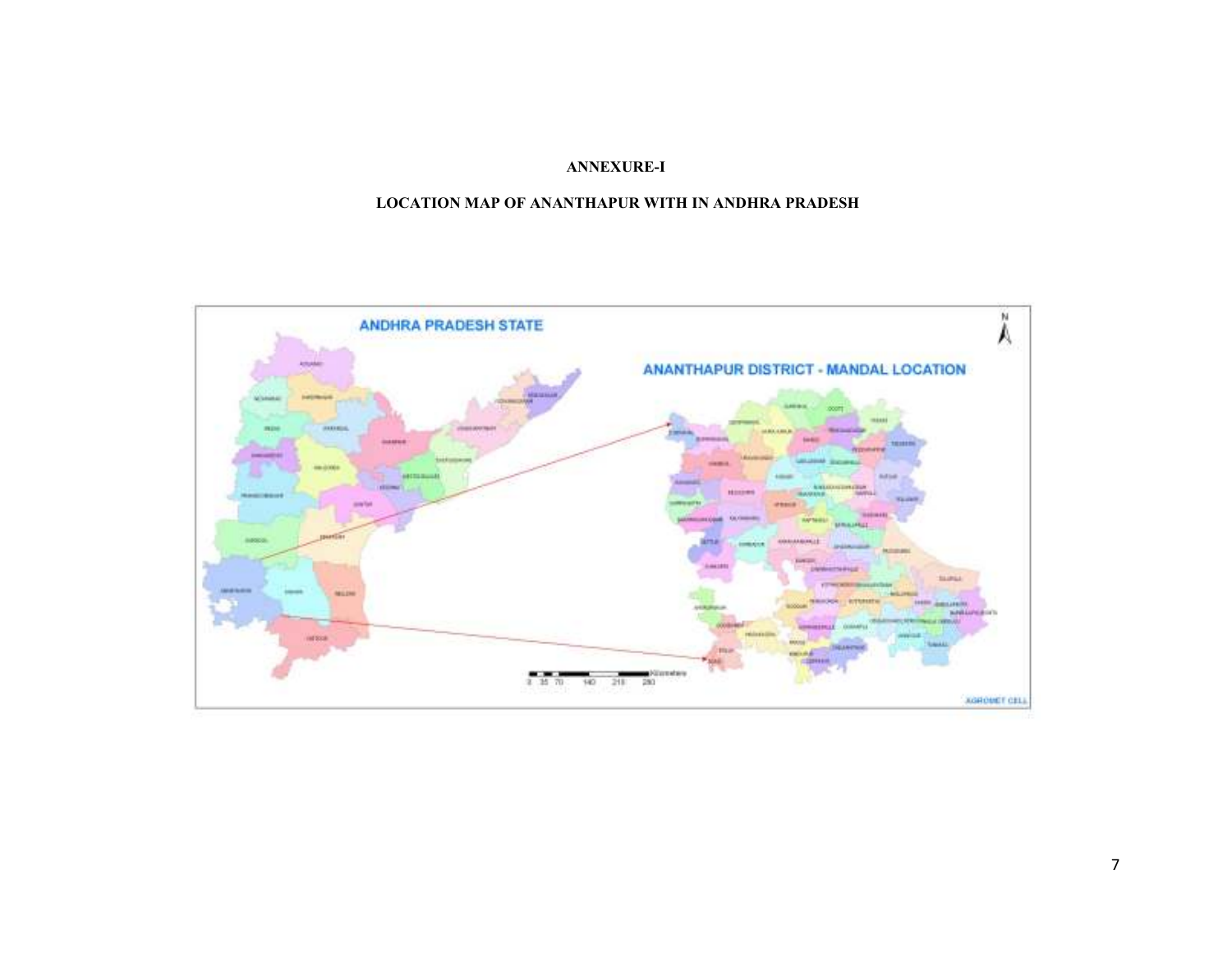# ANNEXURE-I

## LOCATION MAP OF ANANTHAPUR WITH IN ANDHRA PRADESH

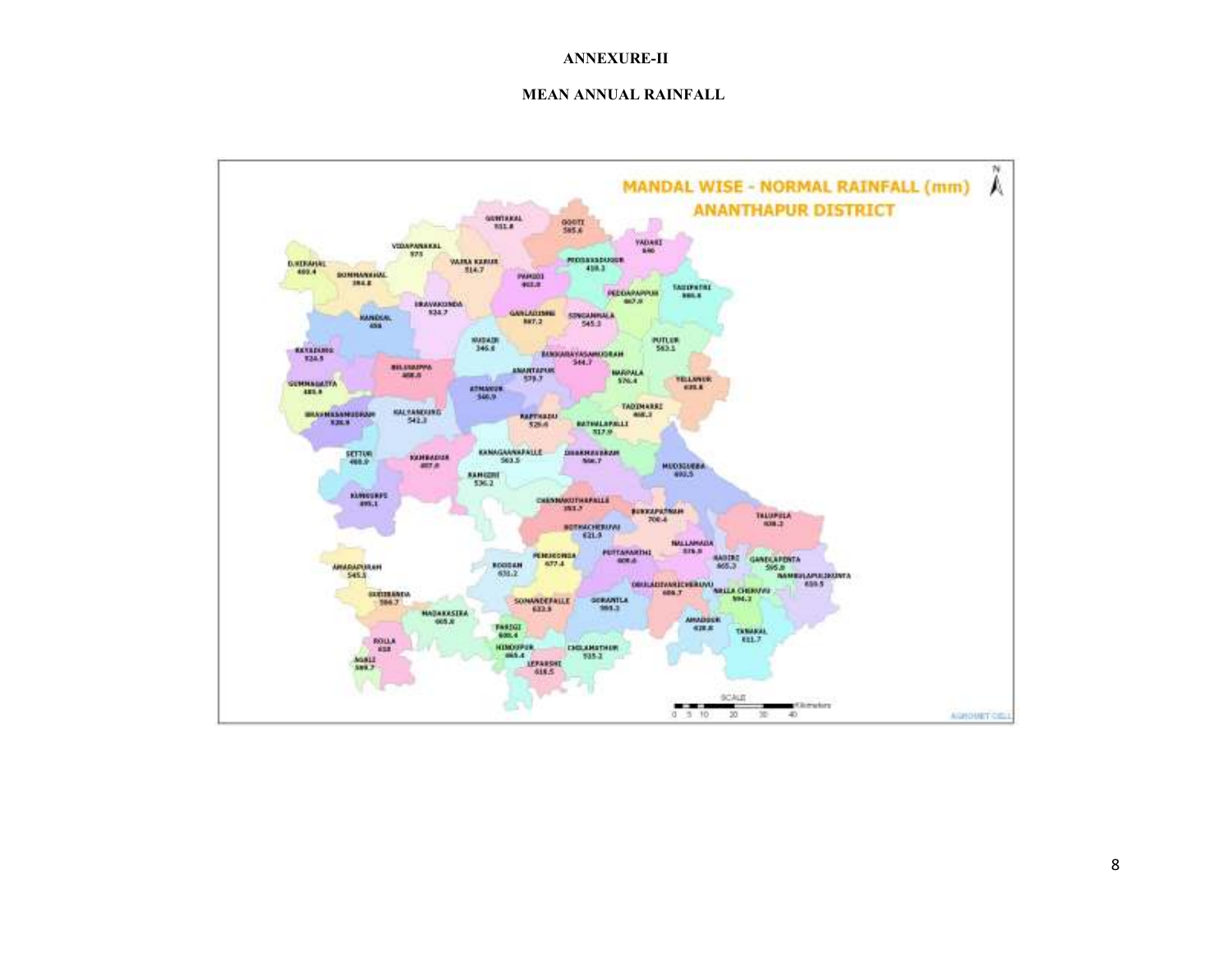#### ANNEXURE-II

#### MEAN ANNUAL RAINFALL

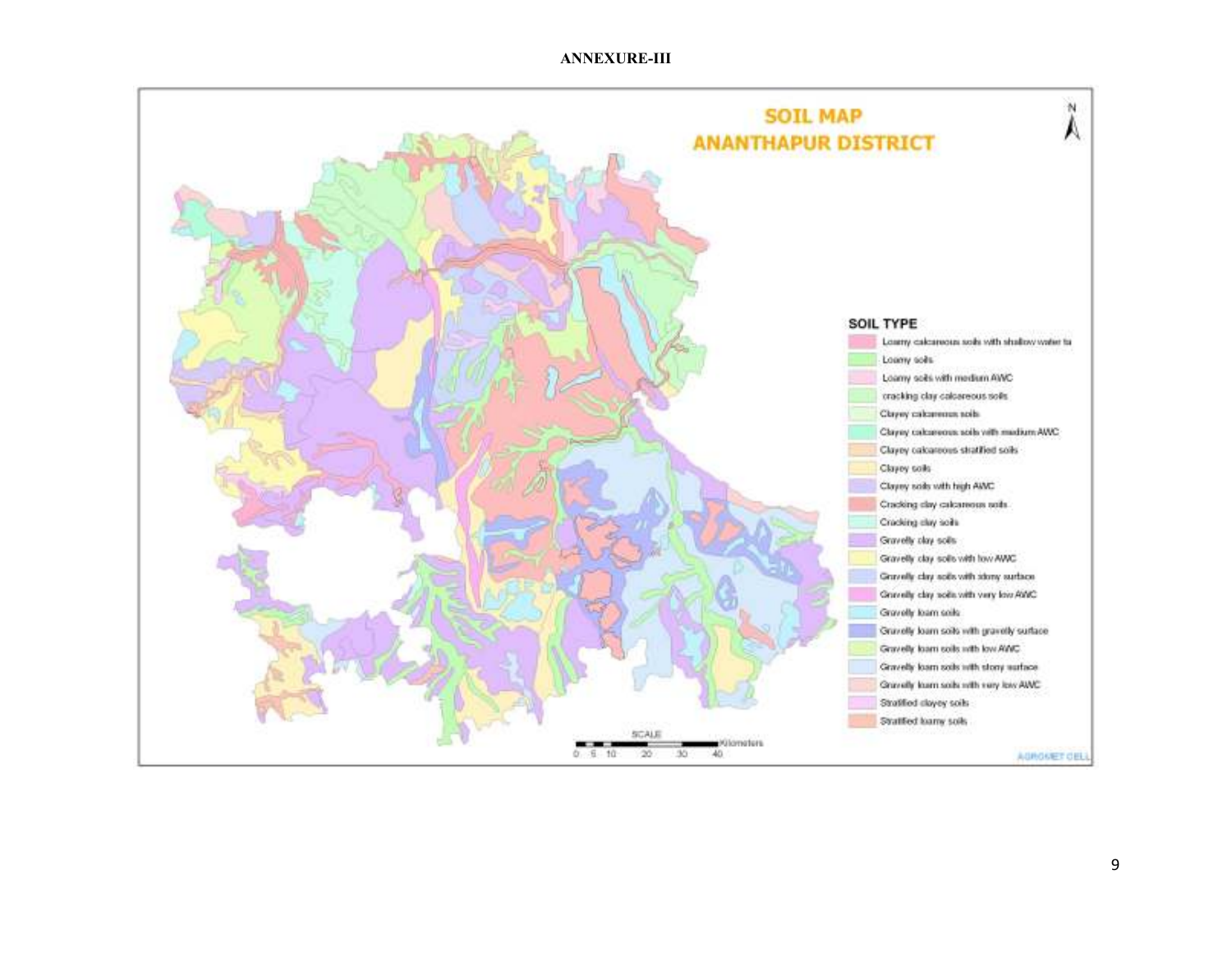#### ANNEXURE-III

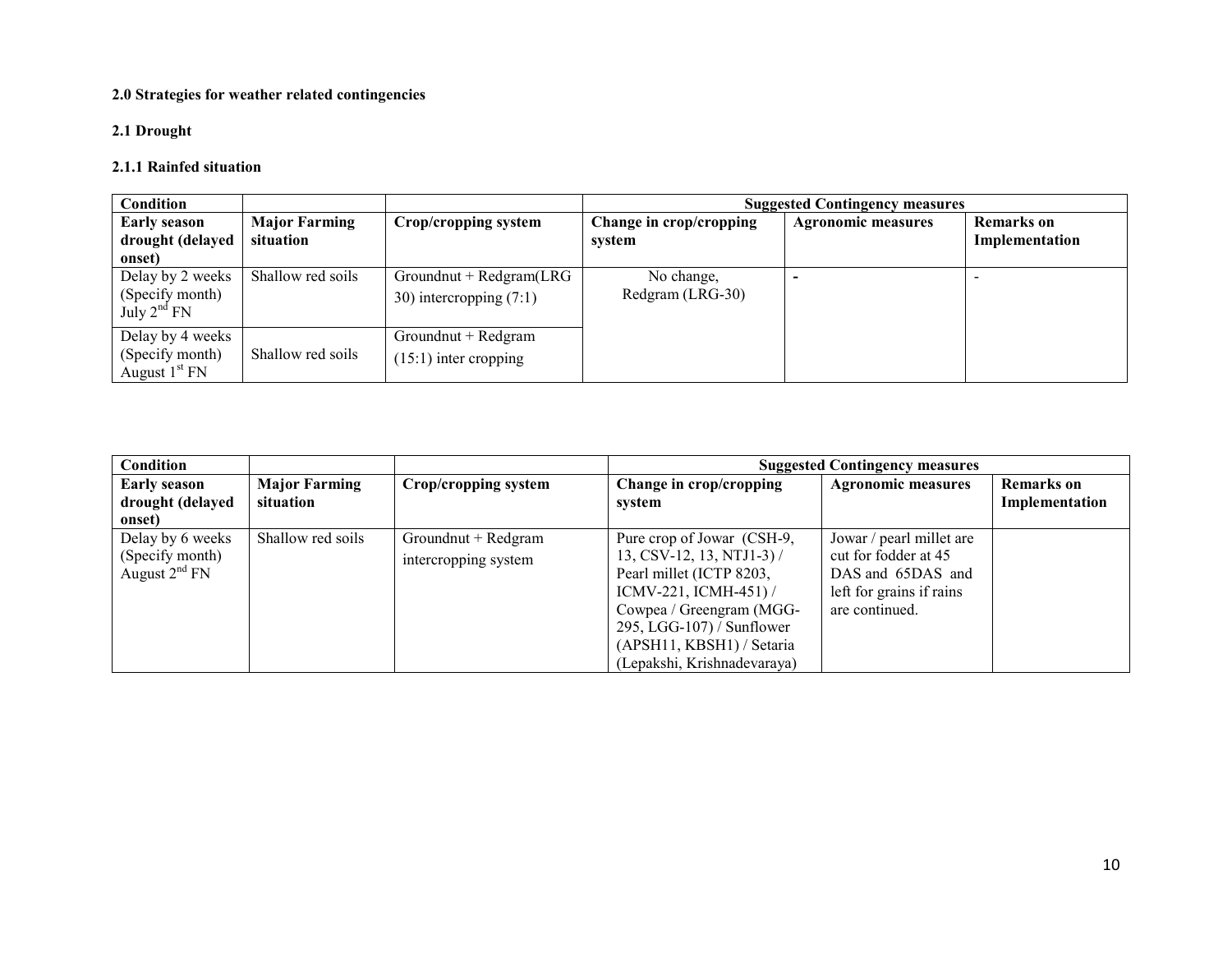## 2.0 Strategies for weather related contingencies

## 2.1 Drought

# 2.1.1 Rainfed situation

| <b>Condition</b>                                        |                                   |                                                         |                                   | <b>Suggested Contingency measures</b> |                                     |
|---------------------------------------------------------|-----------------------------------|---------------------------------------------------------|-----------------------------------|---------------------------------------|-------------------------------------|
| <b>Early season</b><br>drought (delayed<br>onset)       | <b>Major Farming</b><br>situation | Crop/cropping system                                    | Change in crop/cropping<br>system | <b>Agronomic measures</b>             | <b>Remarks</b> on<br>Implementation |
| Delay by 2 weeks<br>(Specify month)<br>July $2^{nd}$ FN | Shallow red soils                 | $Groundnut + Redgram(LRG)$<br>30) intercropping $(7:1)$ | No change,<br>Redgram (LRG-30)    |                                       |                                     |
| Delay by 4 weeks<br>(Specify month)<br>August $1st FN$  | Shallow red soils                 | Groundnut + Redgram<br>$(15:1)$ inter cropping          |                                   |                                       |                                     |

| Condition                                              |                      |                                             |                                                                                                                                                                                                                            | <b>Suggested Contingency measures</b>                                                                               |                   |
|--------------------------------------------------------|----------------------|---------------------------------------------|----------------------------------------------------------------------------------------------------------------------------------------------------------------------------------------------------------------------------|---------------------------------------------------------------------------------------------------------------------|-------------------|
| <b>Early season</b>                                    | <b>Major Farming</b> | Crop/cropping system                        | Change in crop/cropping                                                                                                                                                                                                    | <b>Agronomic measures</b>                                                                                           | <b>Remarks</b> on |
| drought (delayed                                       | situation            |                                             | system                                                                                                                                                                                                                     |                                                                                                                     | Implementation    |
| onset)                                                 |                      |                                             |                                                                                                                                                                                                                            |                                                                                                                     |                   |
| Delay by 6 weeks<br>(Specify month)<br>August $2nd$ FN | Shallow red soils    | Groundnut + Redgram<br>intercropping system | Pure crop of Jowar (CSH-9,<br>$13, \text{CSV-12}, 13, \text{NTJ1-3}$ /<br>Pearl millet (ICTP 8203,<br>$ICMV-221$ , $ICMH-451$ ) /<br>Cowpea / Greengram (MGG-<br>$295$ , LGG-107) / Sunflower<br>(APSH11, KBSH1) / Setaria | Jowar / pearl millet are<br>cut for fodder at 45<br>DAS and 65DAS and<br>left for grains if rains<br>are continued. |                   |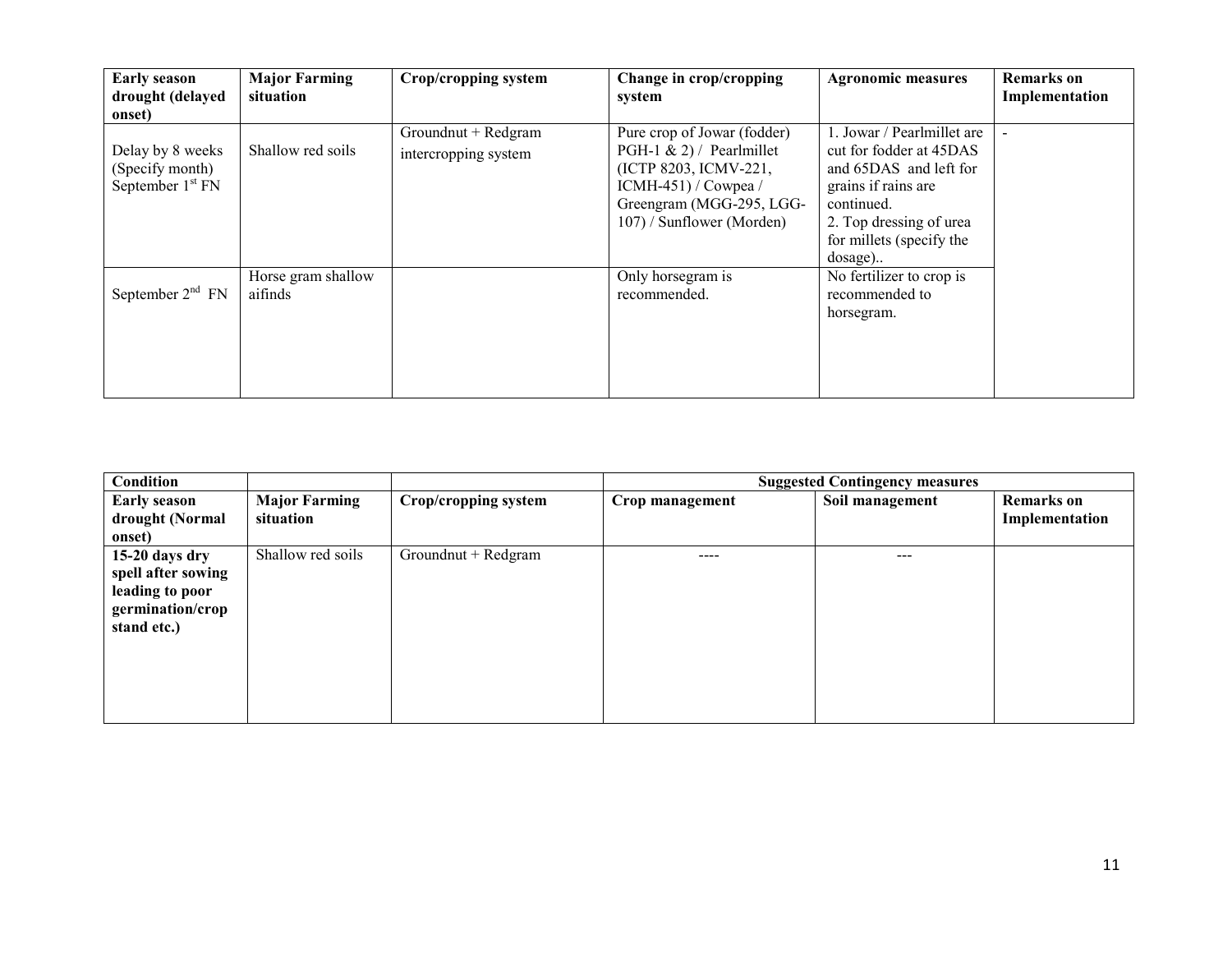| <b>Early season</b><br>drought (delayed<br>onset)         | <b>Major Farming</b><br>situation | Crop/cropping system                        | Change in crop/cropping<br>system                                                                                                                                  | <b>Agronomic measures</b>                                                                                                                                                                | Remarks on<br>Implementation |
|-----------------------------------------------------------|-----------------------------------|---------------------------------------------|--------------------------------------------------------------------------------------------------------------------------------------------------------------------|------------------------------------------------------------------------------------------------------------------------------------------------------------------------------------------|------------------------------|
| Delay by 8 weeks<br>(Specify month)<br>September $1st FN$ | Shallow red soils                 | Groundnut + Redgram<br>intercropping system | Pure crop of Jowar (fodder)<br>PGH-1 & 2) / Pearlmillet<br>(ICTP 8203, ICMV-221,<br>$ICMH-451$ / Cowpea /<br>Greengram (MGG-295, LGG-<br>107) / Sunflower (Morden) | 1. Jowar / Pearlmillet are<br>cut for fodder at 45DAS<br>and 65DAS and left for<br>grains if rains are<br>continued.<br>2. Top dressing of urea<br>for millets (specify the<br>$dosage)$ | $\blacksquare$               |
| September $2nd$ FN                                        | Horse gram shallow<br>aifinds     |                                             | Only horsegram is<br>recommended.                                                                                                                                  | No fertilizer to crop is<br>recommended to<br>horsegram.                                                                                                                                 |                              |

| Condition           |                      |                      | <b>Suggested Contingency measures</b> |                 |                   |  |
|---------------------|----------------------|----------------------|---------------------------------------|-----------------|-------------------|--|
| <b>Early season</b> | <b>Major Farming</b> | Crop/cropping system | Crop management                       | Soil management | <b>Remarks</b> on |  |
| drought (Normal     | situation            |                      |                                       |                 | Implementation    |  |
| onset)              |                      |                      |                                       |                 |                   |  |
| 15-20 days dry      | Shallow red soils    | Groundnut + Redgram  |                                       | ---             |                   |  |
| spell after sowing  |                      |                      |                                       |                 |                   |  |
| leading to poor     |                      |                      |                                       |                 |                   |  |
| germination/crop    |                      |                      |                                       |                 |                   |  |
| stand etc.)         |                      |                      |                                       |                 |                   |  |
|                     |                      |                      |                                       |                 |                   |  |
|                     |                      |                      |                                       |                 |                   |  |
|                     |                      |                      |                                       |                 |                   |  |
|                     |                      |                      |                                       |                 |                   |  |
|                     |                      |                      |                                       |                 |                   |  |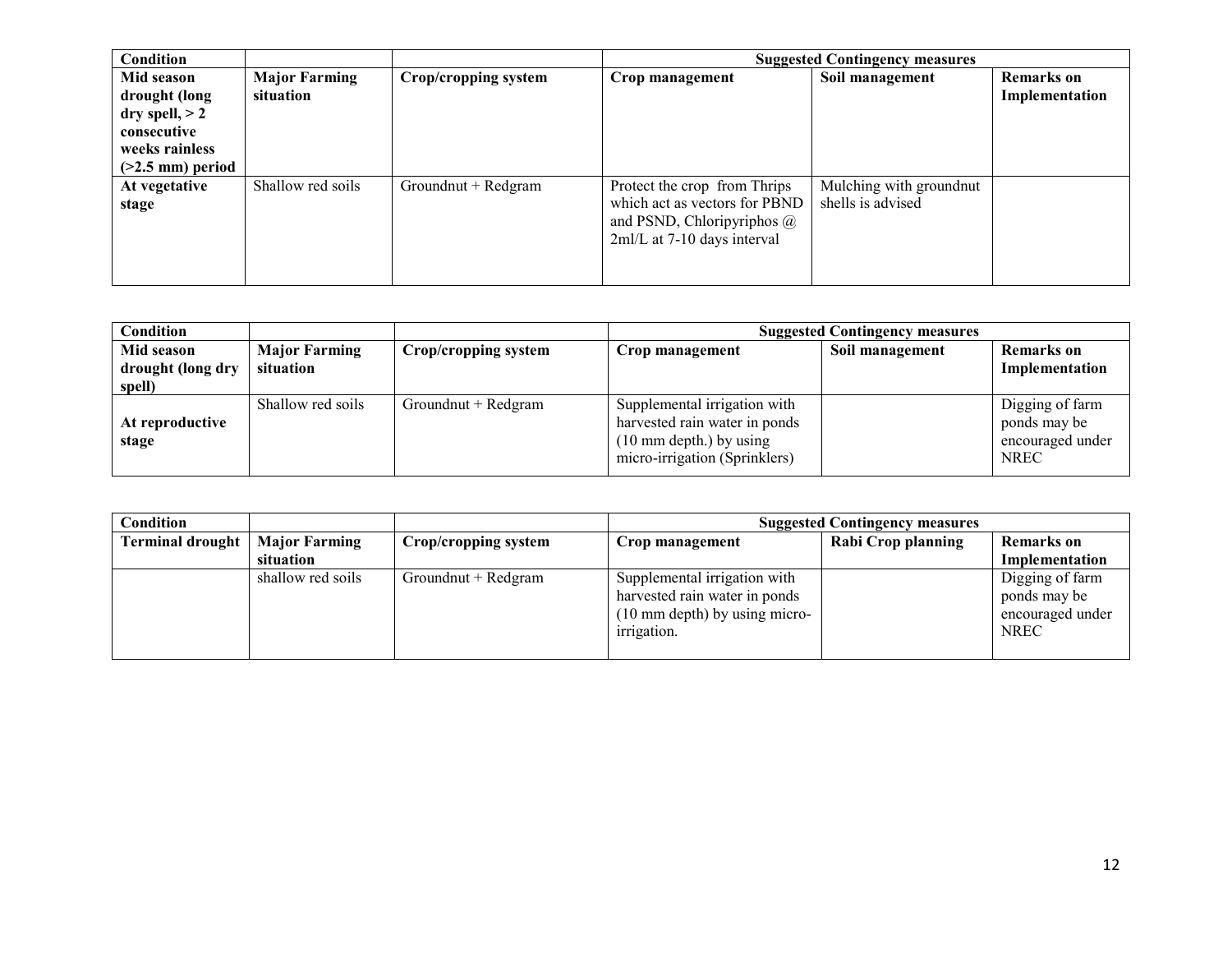| Condition                                                                                              |                                   |                      | <b>Suggested Contingency measures</b>                                                                                             |                                              |                                     |  |
|--------------------------------------------------------------------------------------------------------|-----------------------------------|----------------------|-----------------------------------------------------------------------------------------------------------------------------------|----------------------------------------------|-------------------------------------|--|
| Mid season<br>drought (long<br>dry spell, $> 2$<br>consecutive<br>weeks rainless<br>$(>2.5$ mm) period | <b>Major Farming</b><br>situation | Crop/cropping system | Crop management                                                                                                                   | Soil management                              | <b>Remarks</b> on<br>Implementation |  |
| At vegetative<br>stage                                                                                 | Shallow red soils                 | Groundnut + Redgram  | Protect the crop from Thrips<br>which act as vectors for PBND<br>and PSND, Chloripyriphos $\omega$<br>2ml/L at 7-10 days interval | Mulching with groundnut<br>shells is advised |                                     |  |

| Condition                       |                                   |                      | <b>Suggested Contingency measures</b>                                                                                               |  |                                                                    |  |
|---------------------------------|-----------------------------------|----------------------|-------------------------------------------------------------------------------------------------------------------------------------|--|--------------------------------------------------------------------|--|
| Mid season<br>drought (long dry | <b>Major Farming</b><br>situation | Crop/cropping system | Soil management<br>Crop management                                                                                                  |  | Remarks on<br>Implementation                                       |  |
| spell)                          |                                   |                      |                                                                                                                                     |  |                                                                    |  |
| At reproductive<br>stage        | Shallow red soils                 | Groundnut + Redgram  | Supplemental irrigation with<br>harvested rain water in ponds<br>$(10 \text{ mm depth.})$ by using<br>micro-irrigation (Sprinklers) |  | Digging of farm<br>ponds may be<br>encouraged under<br><b>NREC</b> |  |

| <b>Condition</b>        |                      |                      | <b>Suggested Contingency measures</b>                                                                                   |                    |                                                                    |
|-------------------------|----------------------|----------------------|-------------------------------------------------------------------------------------------------------------------------|--------------------|--------------------------------------------------------------------|
| <b>Terminal drought</b> | <b>Major Farming</b> | Crop/cropping system | Crop management                                                                                                         | Rabi Crop planning | Remarks on                                                         |
|                         | situation            |                      |                                                                                                                         |                    | Implementation                                                     |
|                         | shallow red soils    | Groundnut + Redgram  | Supplemental irrigation with<br>harvested rain water in ponds<br>$(10 \text{ mm depth})$ by using micro-<br>irrigation. |                    | Digging of farm<br>ponds may be<br>encouraged under<br><b>NREC</b> |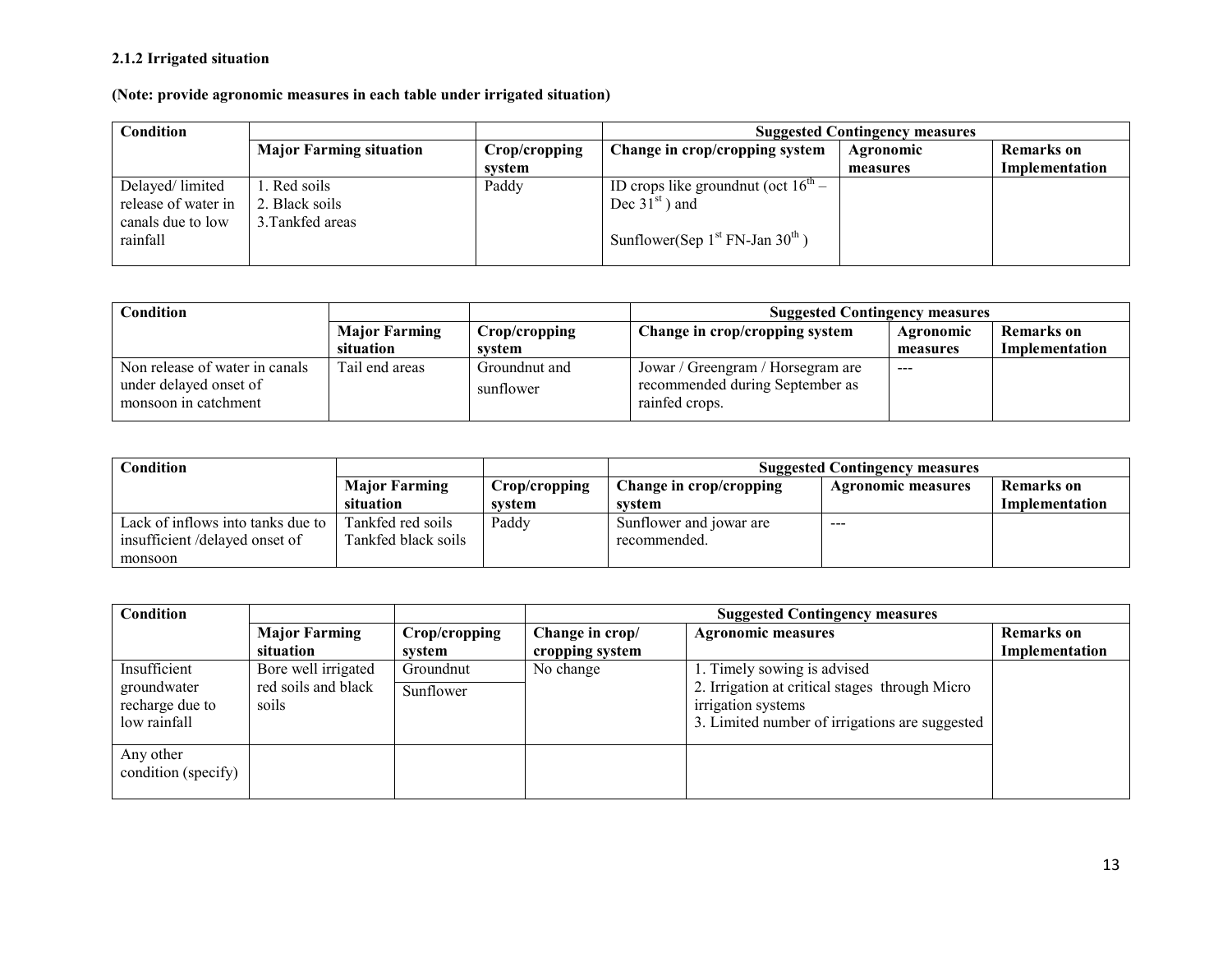## 2.1.2 Irrigated situation

(Note: provide agronomic measures in each table under irrigated situation)

| Condition                                                               |                                                    |               | <b>Suggested Contingency measures</b>                                                                             |           |                |  |
|-------------------------------------------------------------------------|----------------------------------------------------|---------------|-------------------------------------------------------------------------------------------------------------------|-----------|----------------|--|
|                                                                         | <b>Major Farming situation</b>                     | Crop/cropping | Change in crop/cropping system                                                                                    | Agronomic | Remarks on     |  |
|                                                                         |                                                    | system        |                                                                                                                   | measures  | Implementation |  |
| Delayed/limited<br>release of water in<br>canals due to low<br>rainfall | 1. Red soils<br>2. Black soils<br>3. Tankfed areas | Paddy         | ID crops like ground nut (oct $16^{\text{th}}$ –<br>Dec $31st$ ) and<br>Sunflower(Sep $1^{st}$ FN-Jan $30^{th}$ ) |           |                |  |

| Condition                      |                      |               | <b>Suggested Contingency measures</b> |           |                   |
|--------------------------------|----------------------|---------------|---------------------------------------|-----------|-------------------|
|                                | <b>Major Farming</b> | Crop/cropping | Change in crop/cropping system        | Agronomic | <b>Remarks</b> on |
|                                | situation            | svstem        |                                       | measures  | Implementation    |
| Non release of water in canals | Tail end areas       | Groundnut and | Jowar / Greengram / Horsegram are     | $---$     |                   |
| under delayed onset of         |                      | sunflower     | recommended during September as       |           |                   |
| monsoon in catchment           |                      |               | rainfed crops.                        |           |                   |

| Condition                         |                      |               | <b>Suggested Contingency measures</b>                |                            |                |  |
|-----------------------------------|----------------------|---------------|------------------------------------------------------|----------------------------|----------------|--|
|                                   | <b>Major Farming</b> | Crop/cropping | Change in crop/cropping<br><b>Agronomic measures</b> |                            | Remarks on     |  |
|                                   | situation            | system        | svstem                                               |                            | Implementation |  |
| Lack of inflows into tanks due to | Tankfed red soils    | Paddy         | Sunflower and jowar are                              | $\qquad \qquad - \qquad -$ |                |  |
| insufficient/delayed onset of     | Tankfed black soils  |               | recommended.                                         |                            |                |  |
| monsoon                           |                      |               |                                                      |                            |                |  |

| Condition           |                      |               | <b>Suggested Contingency measures</b> |                                                |                   |  |
|---------------------|----------------------|---------------|---------------------------------------|------------------------------------------------|-------------------|--|
|                     | <b>Major Farming</b> | Crop/cropping | Change in crop/                       | <b>Agronomic measures</b>                      | <b>Remarks</b> on |  |
|                     | situation            | system        | cropping system                       |                                                | Implementation    |  |
| Insufficient        | Bore well irrigated  | Groundnut     | No change                             | 1. Timely sowing is advised                    |                   |  |
| groundwater         | red soils and black  | Sunflower     |                                       | 2. Irrigation at critical stages through Micro |                   |  |
| recharge due to     | soils                |               |                                       | irrigation systems                             |                   |  |
| low rainfall        |                      |               |                                       | 3. Limited number of irrigations are suggested |                   |  |
|                     |                      |               |                                       |                                                |                   |  |
| Any other           |                      |               |                                       |                                                |                   |  |
| condition (specify) |                      |               |                                       |                                                |                   |  |
|                     |                      |               |                                       |                                                |                   |  |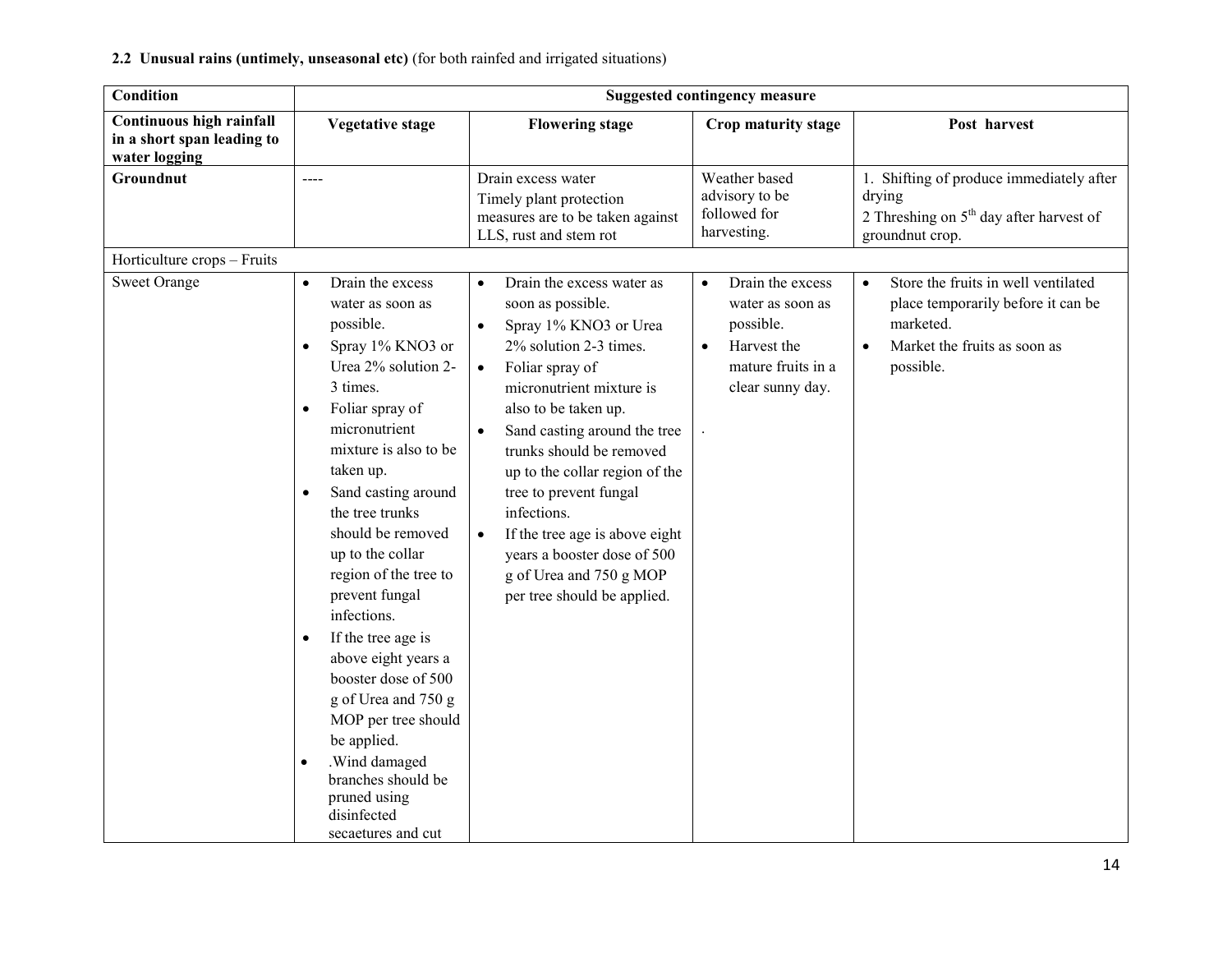| <b>Condition</b>                                                        | <b>Suggested contingency measure</b>                                                                                                                                                                                                                                                                                                                                                                                                                                                                                                                                                                                                       |                                                                                                                                                                                                                                                                                                                                                                                                                                                                                                             |                                                                                                                                      |                                                                                                                                                               |  |
|-------------------------------------------------------------------------|--------------------------------------------------------------------------------------------------------------------------------------------------------------------------------------------------------------------------------------------------------------------------------------------------------------------------------------------------------------------------------------------------------------------------------------------------------------------------------------------------------------------------------------------------------------------------------------------------------------------------------------------|-------------------------------------------------------------------------------------------------------------------------------------------------------------------------------------------------------------------------------------------------------------------------------------------------------------------------------------------------------------------------------------------------------------------------------------------------------------------------------------------------------------|--------------------------------------------------------------------------------------------------------------------------------------|---------------------------------------------------------------------------------------------------------------------------------------------------------------|--|
| Continuous high rainfall<br>in a short span leading to<br>water logging | <b>Vegetative stage</b>                                                                                                                                                                                                                                                                                                                                                                                                                                                                                                                                                                                                                    | <b>Flowering stage</b>                                                                                                                                                                                                                                                                                                                                                                                                                                                                                      | Crop maturity stage                                                                                                                  | Post harvest                                                                                                                                                  |  |
| Groundnut                                                               | $---$                                                                                                                                                                                                                                                                                                                                                                                                                                                                                                                                                                                                                                      | Drain excess water<br>Timely plant protection<br>measures are to be taken against<br>LLS, rust and stem rot                                                                                                                                                                                                                                                                                                                                                                                                 | Weather based<br>advisory to be<br>followed for<br>harvesting.                                                                       | 1. Shifting of produce immediately after<br>drying<br>2 Threshing on $5th$ day after harvest of<br>groundnut crop.                                            |  |
| Horticulture crops - Fruits                                             |                                                                                                                                                                                                                                                                                                                                                                                                                                                                                                                                                                                                                                            |                                                                                                                                                                                                                                                                                                                                                                                                                                                                                                             |                                                                                                                                      |                                                                                                                                                               |  |
| <b>Sweet Orange</b>                                                     | Drain the excess<br>$\bullet$<br>water as soon as<br>possible.<br>Spray 1% KNO3 or<br>$\bullet$<br>Urea 2% solution 2-<br>3 times.<br>Foliar spray of<br>$\bullet$<br>micronutrient<br>mixture is also to be<br>taken up.<br>Sand casting around<br>$\bullet$<br>the tree trunks<br>should be removed<br>up to the collar<br>region of the tree to<br>prevent fungal<br>infections.<br>If the tree age is<br>$\bullet$<br>above eight years a<br>booster dose of 500<br>g of Urea and 750 g<br>MOP per tree should<br>be applied.<br>.Wind damaged<br>$\bullet$<br>branches should be<br>pruned using<br>disinfected<br>secaetures and cut | Drain the excess water as<br>$\bullet$<br>soon as possible.<br>Spray 1% KNO3 or Urea<br>$\bullet$<br>2% solution 2-3 times.<br>Foliar spray of<br>$\bullet$<br>micronutrient mixture is<br>also to be taken up.<br>Sand casting around the tree<br>$\bullet$<br>trunks should be removed<br>up to the collar region of the<br>tree to prevent fungal<br>infections.<br>If the tree age is above eight<br>$\bullet$<br>years a booster dose of 500<br>g of Urea and 750 g MOP<br>per tree should be applied. | Drain the excess<br>$\bullet$<br>water as soon as<br>possible.<br>Harvest the<br>$\bullet$<br>mature fruits in a<br>clear sunny day. | Store the fruits in well ventilated<br>$\bullet$<br>place temporarily before it can be<br>marketed.<br>Market the fruits as soon as<br>$\bullet$<br>possible. |  |

#### 2.2 Unusual rains (untimely, unseasonal etc) (for both rainfed and irrigated situations)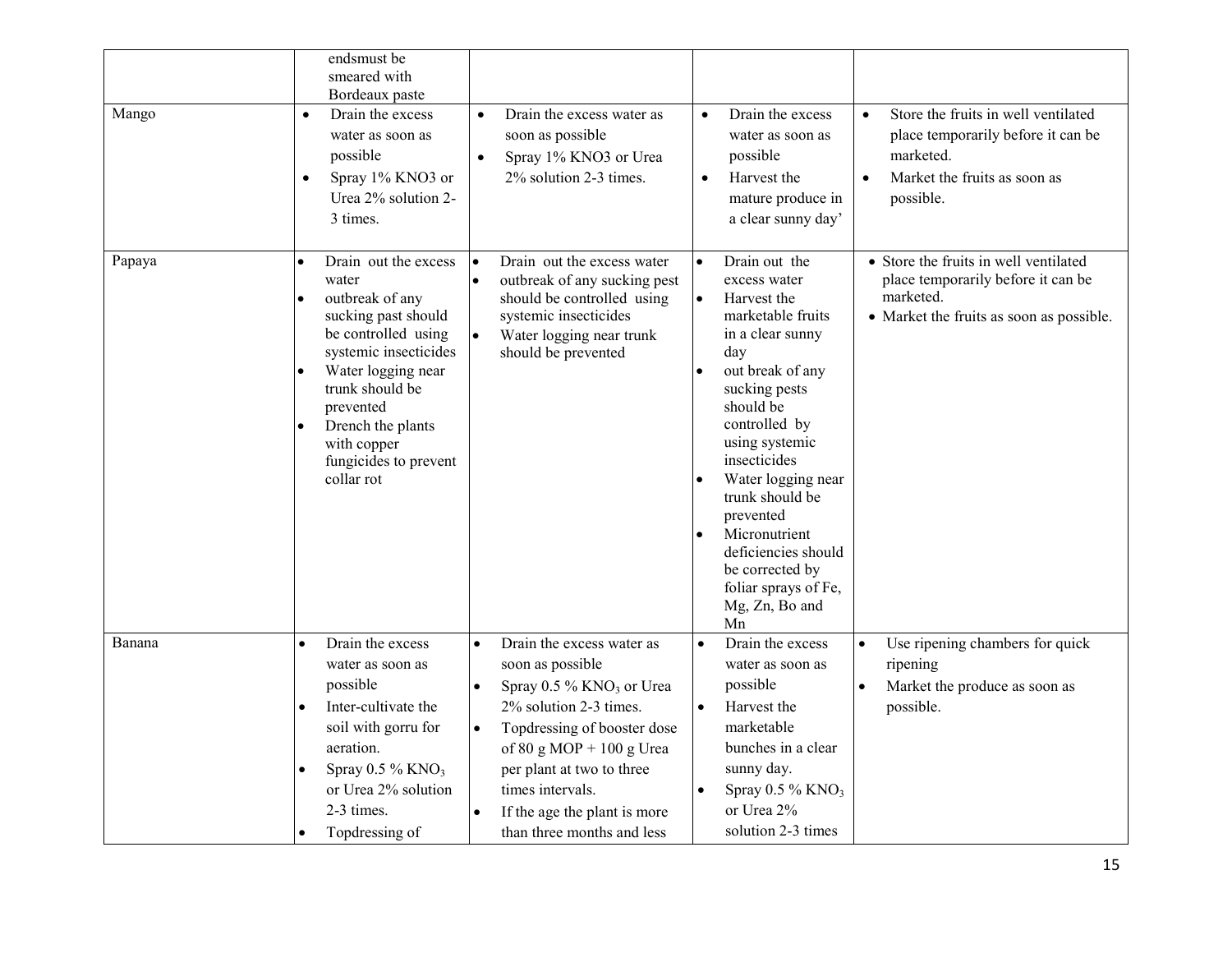| Mango  | endsmust be<br>smeared with<br>Bordeaux paste<br>Drain the excess<br>$\bullet$<br>water as soon as<br>possible<br>Spray 1% KNO3 or<br>$\bullet$<br>Urea 2% solution 2-<br>3 times.                                                                                                              | Drain the excess water as<br>$\bullet$<br>soon as possible<br>Spray 1% KNO3 or Urea<br>$\bullet$<br>2% solution 2-3 times.                                                        | Drain the excess<br>$\bullet$<br>water as soon as<br>possible<br>Harvest the<br>$\bullet$<br>mature produce in<br>a clear sunny day'                                                                                                                                                                                                                                            | Store the fruits in well ventilated<br>$\bullet$<br>place temporarily before it can be<br>marketed.<br>Market the fruits as soon as<br>$\bullet$<br>possible. |
|--------|-------------------------------------------------------------------------------------------------------------------------------------------------------------------------------------------------------------------------------------------------------------------------------------------------|-----------------------------------------------------------------------------------------------------------------------------------------------------------------------------------|---------------------------------------------------------------------------------------------------------------------------------------------------------------------------------------------------------------------------------------------------------------------------------------------------------------------------------------------------------------------------------|---------------------------------------------------------------------------------------------------------------------------------------------------------------|
| Papaya | Drain out the excess<br>$\bullet$<br>water<br>outbreak of any<br>$\bullet$<br>sucking past should<br>be controlled using<br>systemic insecticides<br>Water logging near<br>$\bullet$<br>trunk should be<br>prevented<br>Drench the plants<br>with copper<br>fungicides to prevent<br>collar rot | Drain out the excess water<br>$\bullet$<br>outbreak of any sucking pest<br>should be controlled using<br>systemic insecticides<br>Water logging near trunk<br>should be prevented | Drain out the<br>excess water<br>$\bullet$<br>Harvest the<br>marketable fruits<br>in a clear sunny<br>day<br>out break of any<br>sucking pests<br>should be<br>controlled by<br>using systemic<br>insecticides<br>Water logging near<br>trunk should be<br>prevented<br>Micronutrient<br>deficiencies should<br>be corrected by<br>foliar sprays of Fe,<br>Mg, Zn, Bo and<br>Mn | • Store the fruits in well ventilated<br>place temporarily before it can be<br>marketed.<br>• Market the fruits as soon as possible.                          |
| Banana | Drain the excess<br>$\bullet$<br>water as soon as<br>possible                                                                                                                                                                                                                                   | Drain the excess water as<br>$\bullet$<br>soon as possible<br>Spray 0.5 % KNO <sub>3</sub> or Urea                                                                                | Drain the excess<br>water as soon as<br>possible                                                                                                                                                                                                                                                                                                                                | Use ripening chambers for quick<br>$\bullet$<br>ripening<br>Market the produce as soon as<br>$\bullet$                                                        |
|        | Inter-cultivate the<br>$\bullet$<br>soil with gorru for<br>aeration.                                                                                                                                                                                                                            | 2% solution 2-3 times.<br>Topdressing of booster dose<br>of 80 g MOP + 100 g Urea                                                                                                 | Harvest the<br>$\bullet$<br>marketable<br>bunches in a clear                                                                                                                                                                                                                                                                                                                    | possible.                                                                                                                                                     |
|        | Spray 0.5 % KNO <sub>3</sub><br>$\bullet$<br>or Urea 2% solution<br>2-3 times.<br>Topdressing of                                                                                                                                                                                                | per plant at two to three<br>times intervals.<br>If the age the plant is more<br>than three months and less                                                                       | sunny day.<br>Spray $0.5\%$ KNO <sub>3</sub><br>or Urea 2%<br>solution 2-3 times                                                                                                                                                                                                                                                                                                |                                                                                                                                                               |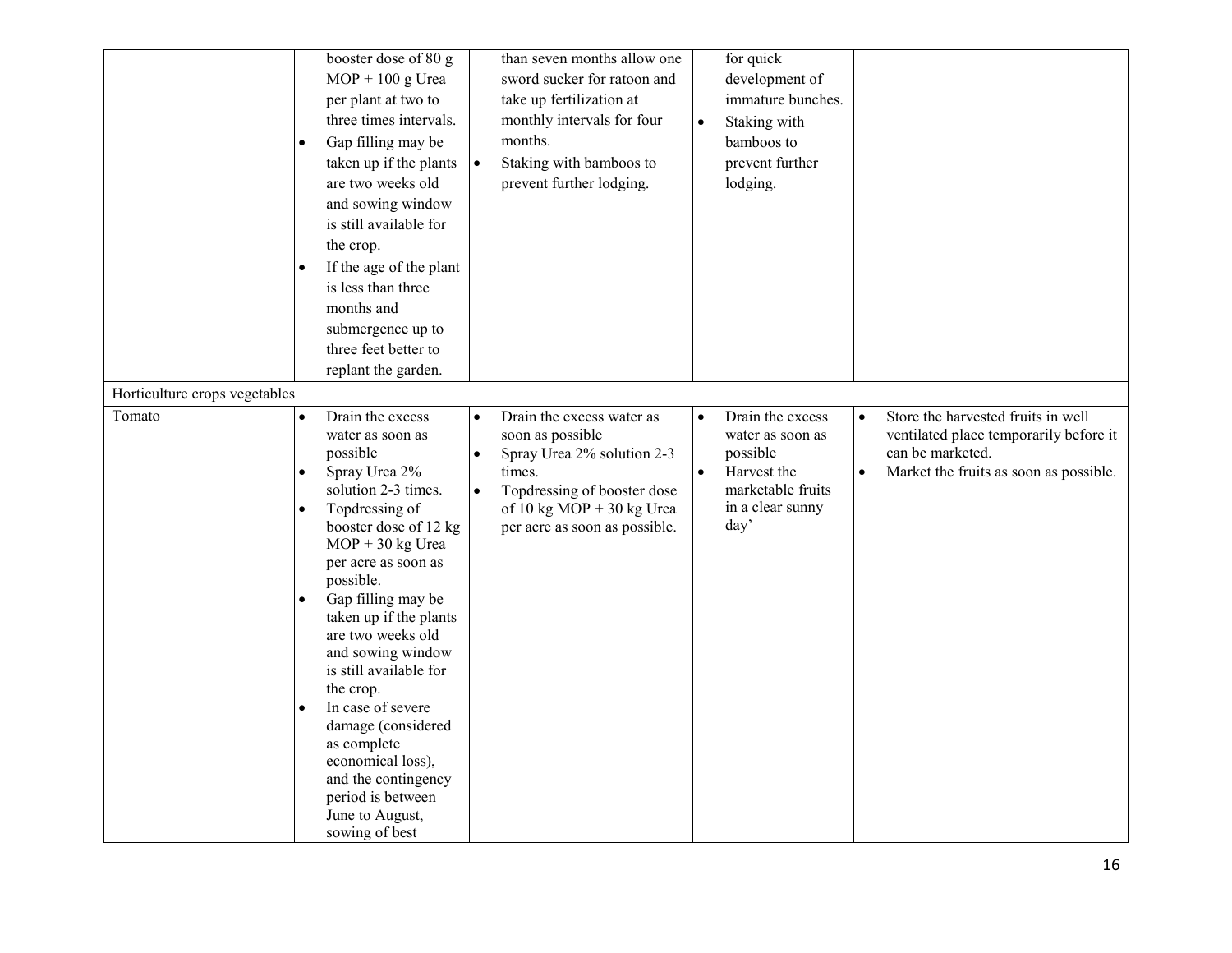|                                         | booster dose of 80 g<br>$MOP + 100$ g Urea<br>per plant at two to<br>three times intervals.<br>Gap filling may be<br>$\bullet$<br>taken up if the plants<br>are two weeks old<br>and sowing window<br>is still available for<br>the crop.<br>If the age of the plant<br>is less than three<br>months and<br>submergence up to<br>three feet better to<br>replant the garden.                                                                                                                                             | $\bullet$                           | than seven months allow one<br>sword sucker for ratoon and<br>take up fertilization at<br>monthly intervals for four<br>months.<br>Staking with bamboos to<br>prevent further lodging. | $\bullet$              | for quick<br>development of<br>immature bunches.<br>Staking with<br>bamboos to<br>prevent further<br>lodging.    |           |                                                                                                                                            |
|-----------------------------------------|--------------------------------------------------------------------------------------------------------------------------------------------------------------------------------------------------------------------------------------------------------------------------------------------------------------------------------------------------------------------------------------------------------------------------------------------------------------------------------------------------------------------------|-------------------------------------|----------------------------------------------------------------------------------------------------------------------------------------------------------------------------------------|------------------------|------------------------------------------------------------------------------------------------------------------|-----------|--------------------------------------------------------------------------------------------------------------------------------------------|
| Horticulture crops vegetables<br>Tomato | Drain the excess<br>$\bullet$<br>water as soon as<br>possible<br>Spray Urea 2%<br>solution 2-3 times.<br>Topdressing of<br>$\bullet$<br>booster dose of 12 kg<br>$MOP + 30$ kg Urea<br>per acre as soon as<br>possible.<br>Gap filling may be<br>taken up if the plants<br>are two weeks old<br>and sowing window<br>is still available for<br>the crop.<br>In case of severe<br>damage (considered<br>as complete<br>economical loss),<br>and the contingency<br>period is between<br>June to August,<br>sowing of best | $\bullet$<br>$\bullet$<br>$\bullet$ | Drain the excess water as<br>soon as possible<br>Spray Urea 2% solution 2-3<br>times.<br>Topdressing of booster dose<br>of 10 kg MOP + 30 kg Urea<br>per acre as soon as possible.     | $\bullet$<br>$\bullet$ | Drain the excess<br>water as soon as<br>possible<br>Harvest the<br>marketable fruits<br>in a clear sunny<br>day' | $\bullet$ | Store the harvested fruits in well<br>ventilated place temporarily before it<br>can be marketed.<br>Market the fruits as soon as possible. |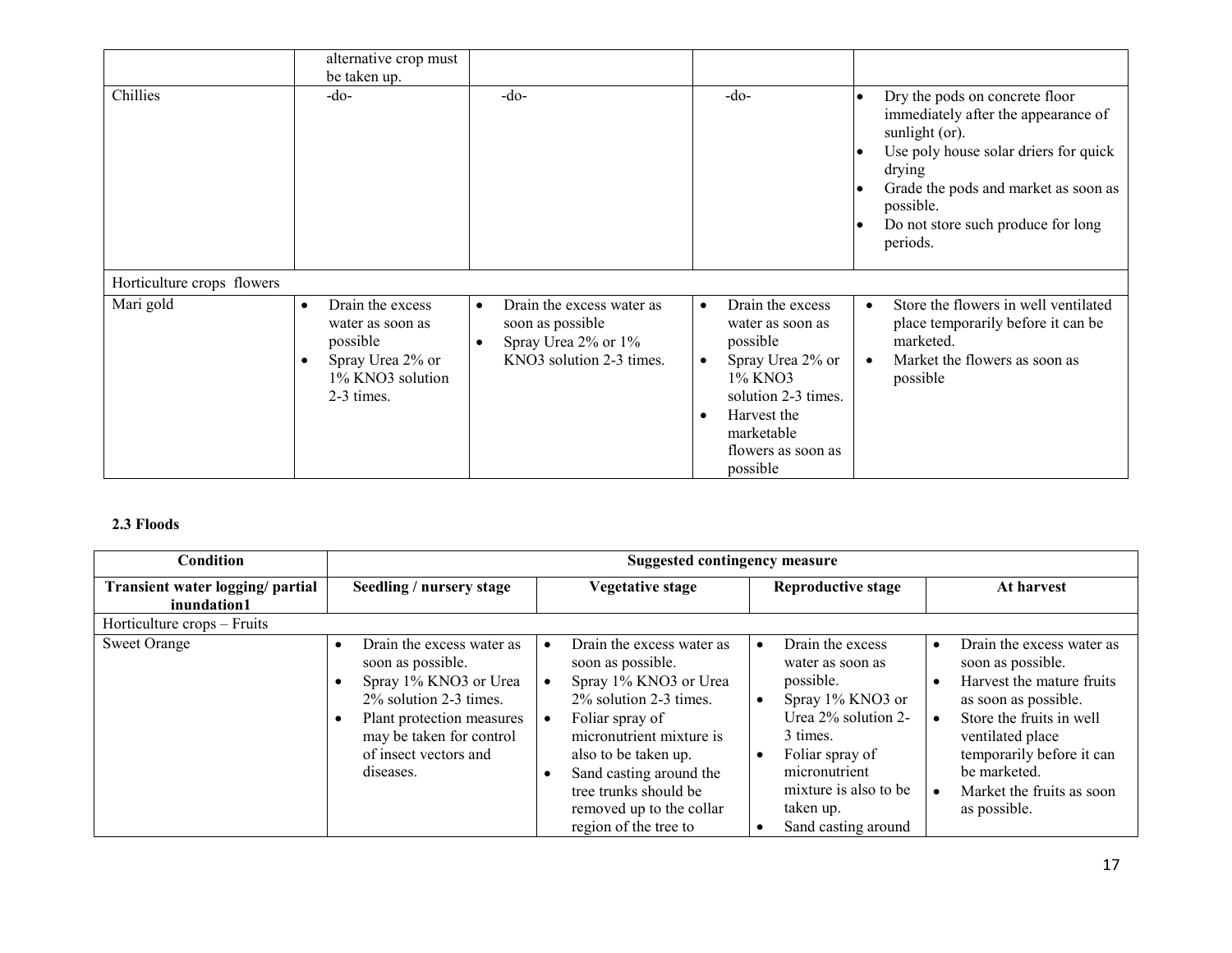|                            | alternative crop must<br>be taken up.                                                                                            |                                                                                                                            |                                                                                                                                                                                                              |                                                                                                                                                                                                                                                                                                       |
|----------------------------|----------------------------------------------------------------------------------------------------------------------------------|----------------------------------------------------------------------------------------------------------------------------|--------------------------------------------------------------------------------------------------------------------------------------------------------------------------------------------------------------|-------------------------------------------------------------------------------------------------------------------------------------------------------------------------------------------------------------------------------------------------------------------------------------------------------|
| Chillies                   | -do-                                                                                                                             | $-do-$                                                                                                                     | $-do-$                                                                                                                                                                                                       | Dry the pods on concrete floor<br>$\bullet$<br>immediately after the appearance of<br>sunlight (or).<br>Use poly house solar driers for quick<br>$\bullet$<br>drying<br>Grade the pods and market as soon as<br>$\bullet$<br>possible.<br>Do not store such produce for long<br>$\bullet$<br>periods. |
| Horticulture crops flowers |                                                                                                                                  |                                                                                                                            |                                                                                                                                                                                                              |                                                                                                                                                                                                                                                                                                       |
| Mari gold                  | Drain the excess<br>$\bullet$<br>water as soon as<br>possible<br>Spray Urea 2% or<br>$\bullet$<br>1% KNO3 solution<br>2-3 times. | Drain the excess water as<br>$\bullet$<br>soon as possible<br>Spray Urea 2% or 1%<br>$\bullet$<br>KNO3 solution 2-3 times. | Drain the excess<br>$\bullet$<br>water as soon as<br>possible<br>Spray Urea 2% or<br>$\bullet$<br>1% KNO3<br>solution 2-3 times.<br>Harvest the<br>$\bullet$<br>marketable<br>flowers as soon as<br>possible | Store the flowers in well ventilated<br>$\bullet$<br>place temporarily before it can be<br>marketed.<br>Market the flowers as soon as<br>$\bullet$<br>possible                                                                                                                                        |

# 2.3 Floods

| Condition                                       | <b>Suggested contingency measure</b>                                                                                                                                                                   |                                                                                                                                                                                                                                                                                   |                                                                                                                                                                                                           |                                                                                                                                                                                                                                                                                      |
|-------------------------------------------------|--------------------------------------------------------------------------------------------------------------------------------------------------------------------------------------------------------|-----------------------------------------------------------------------------------------------------------------------------------------------------------------------------------------------------------------------------------------------------------------------------------|-----------------------------------------------------------------------------------------------------------------------------------------------------------------------------------------------------------|--------------------------------------------------------------------------------------------------------------------------------------------------------------------------------------------------------------------------------------------------------------------------------------|
| Transient water logging/ partial<br>inundation1 | Seedling / nursery stage                                                                                                                                                                               | <b>Vegetative stage</b>                                                                                                                                                                                                                                                           | <b>Reproductive stage</b>                                                                                                                                                                                 | At harvest                                                                                                                                                                                                                                                                           |
| Horticulture crops – Fruits                     |                                                                                                                                                                                                        |                                                                                                                                                                                                                                                                                   |                                                                                                                                                                                                           |                                                                                                                                                                                                                                                                                      |
| <b>Sweet Orange</b>                             | Drain the excess water as<br>soon as possible.<br>Spray 1% KNO3 or Urea<br>2\% solution 2-3 times.<br>Plant protection measures<br>٠<br>may be taken for control<br>of insect vectors and<br>diseases. | Drain the excess water as<br>soon as possible.<br>Spray 1% KNO3 or Urea<br>2% solution 2-3 times.<br>Foliar spray of<br>micronutrient mixture is<br>also to be taken up.<br>Sand casting around the<br>tree trunks should be<br>removed up to the collar<br>region of the tree to | Drain the excess<br>water as soon as<br>possible.<br>Spray 1% KNO3 or<br>Urea 2% solution 2-<br>3 times.<br>Foliar spray of<br>micronutrient<br>mixture is also to be<br>taken up.<br>Sand casting around | Drain the excess water as<br>$\bullet$<br>soon as possible.<br>Harvest the mature fruits<br>$\bullet$<br>as soon as possible.<br>Store the fruits in well<br>$\bullet$<br>ventilated place<br>temporarily before it can<br>be marketed.<br>Market the fruits as soon<br>as possible. |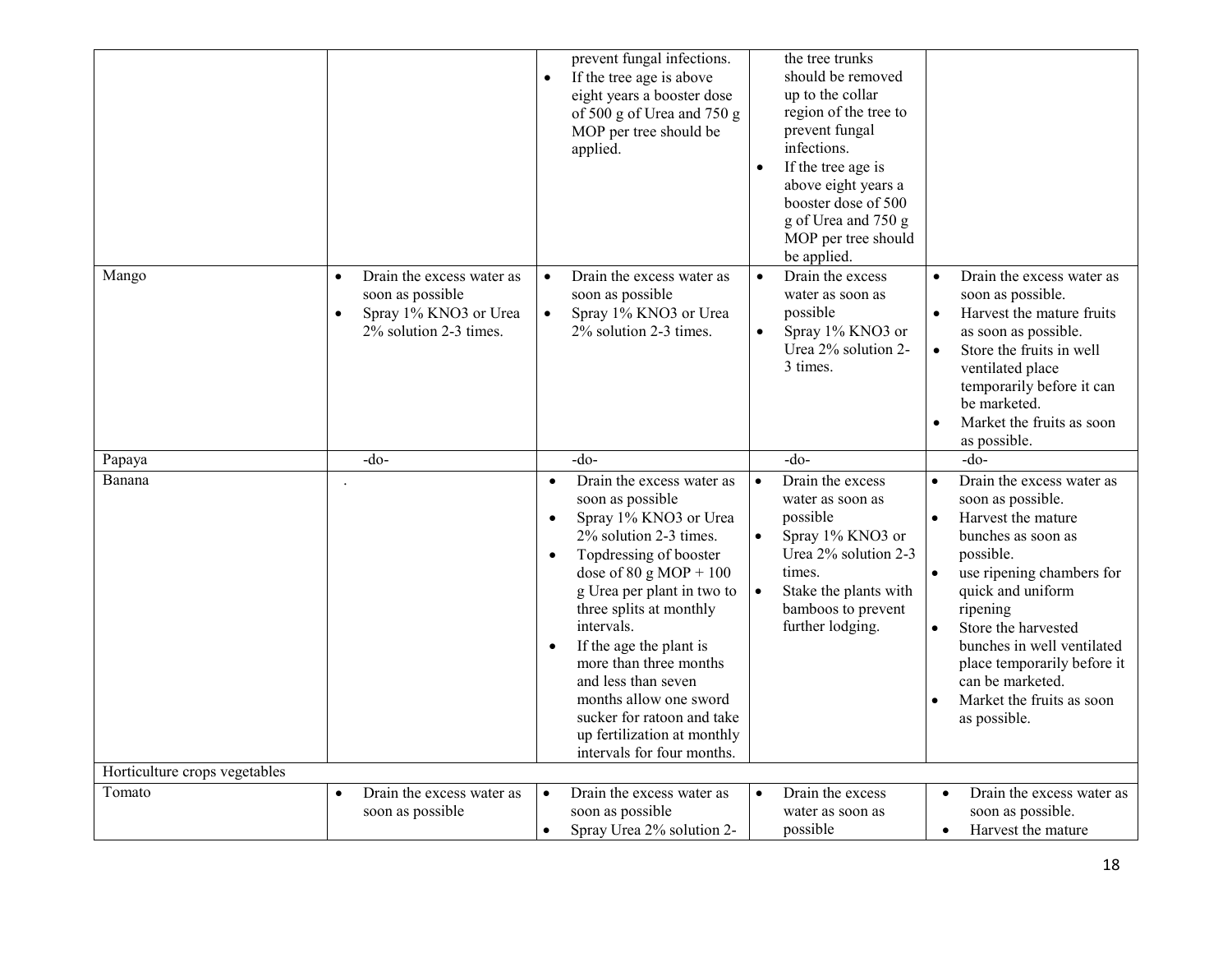|                               |                                                                                                               | prevent fungal infections.<br>If the tree age is above<br>$\bullet$<br>eight years a booster dose<br>of 500 g of Urea and 750 g<br>MOP per tree should be<br>applied.                                                                                                                                                                                                                                                                                                                              | the tree trunks<br>should be removed<br>up to the collar<br>region of the tree to<br>prevent fungal<br>infections.<br>If the tree age is<br>$\bullet$<br>above eight years a<br>booster dose of 500<br>g of Urea and 750 g<br>MOP per tree should<br>be applied. |                                                                                                                                                                                                                                                                                                                                                                                             |
|-------------------------------|---------------------------------------------------------------------------------------------------------------|----------------------------------------------------------------------------------------------------------------------------------------------------------------------------------------------------------------------------------------------------------------------------------------------------------------------------------------------------------------------------------------------------------------------------------------------------------------------------------------------------|------------------------------------------------------------------------------------------------------------------------------------------------------------------------------------------------------------------------------------------------------------------|---------------------------------------------------------------------------------------------------------------------------------------------------------------------------------------------------------------------------------------------------------------------------------------------------------------------------------------------------------------------------------------------|
| Mango                         | Drain the excess water as<br>$\bullet$<br>soon as possible<br>Spray 1% KNO3 or Urea<br>2% solution 2-3 times. | Drain the excess water as<br>$\bullet$<br>soon as possible<br>Spray 1% KNO3 or Urea<br>$\bullet$<br>2% solution 2-3 times.                                                                                                                                                                                                                                                                                                                                                                         | Drain the excess<br>$\bullet$<br>water as soon as<br>possible<br>$\bullet$<br>Spray 1% KNO3 or<br>Urea 2% solution 2-<br>3 times.                                                                                                                                | Drain the excess water as<br>$\bullet$<br>soon as possible.<br>Harvest the mature fruits<br>$\bullet$<br>as soon as possible.<br>Store the fruits in well<br>$\bullet$<br>ventilated place<br>temporarily before it can<br>be marketed.<br>Market the fruits as soon<br>$\bullet$<br>as possible.                                                                                           |
| Papaya                        | -do-                                                                                                          | $-do$                                                                                                                                                                                                                                                                                                                                                                                                                                                                                              | $-do-$                                                                                                                                                                                                                                                           | -do-                                                                                                                                                                                                                                                                                                                                                                                        |
| Banana                        |                                                                                                               | Drain the excess water as<br>$\bullet$<br>soon as possible<br>Spray 1% KNO3 or Urea<br>$\bullet$<br>2% solution 2-3 times.<br>Topdressing of booster<br>$\bullet$<br>dose of $80 \text{ g} \text{ MOP} + 100$<br>g Urea per plant in two to<br>three splits at monthly<br>intervals.<br>If the age the plant is<br>$\bullet$<br>more than three months<br>and less than seven<br>months allow one sword<br>sucker for ratoon and take<br>up fertilization at monthly<br>intervals for four months. | $\bullet$<br>Drain the excess<br>water as soon as<br>possible<br>Spray 1% KNO3 or<br>Urea 2% solution 2-3<br>times.<br>Stake the plants with<br>$\bullet$<br>bamboos to prevent<br>further lodging.                                                              | Drain the excess water as<br>$\bullet$<br>soon as possible.<br>Harvest the mature<br>$\bullet$<br>bunches as soon as<br>possible.<br>$\bullet$<br>use ripening chambers for<br>quick and uniform<br>ripening<br>Store the harvested<br>$\bullet$<br>bunches in well ventilated<br>place temporarily before it<br>can be marketed.<br>Market the fruits as soon<br>$\bullet$<br>as possible. |
| Horticulture crops vegetables |                                                                                                               |                                                                                                                                                                                                                                                                                                                                                                                                                                                                                                    |                                                                                                                                                                                                                                                                  |                                                                                                                                                                                                                                                                                                                                                                                             |
| Tomato                        | Drain the excess water as<br>$\bullet$<br>soon as possible                                                    | Drain the excess water as<br>$\bullet$<br>soon as possible<br>Spray Urea 2% solution 2-<br>$\bullet$                                                                                                                                                                                                                                                                                                                                                                                               | Drain the excess<br>$\bullet$<br>water as soon as<br>possible                                                                                                                                                                                                    | Drain the excess water as<br>$\bullet$<br>soon as possible.<br>Harvest the mature<br>$\bullet$                                                                                                                                                                                                                                                                                              |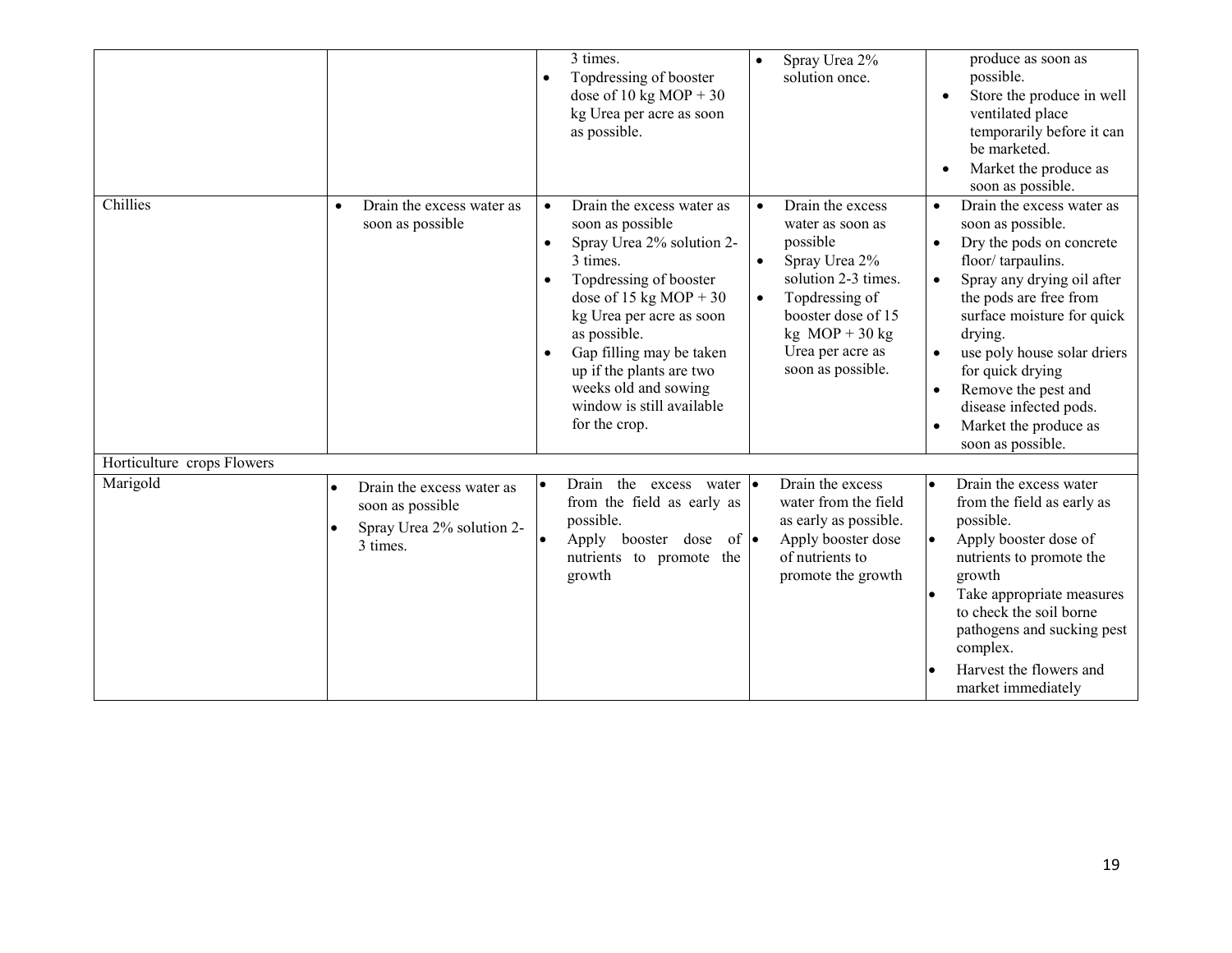|                            |                                                                                                     | 3 times.<br>Topdressing of booster<br>$\bullet$<br>dose of 10 kg MOP + 30<br>kg Urea per acre as soon<br>as possible.                                                                                                                                                                                                                                       | Spray Urea 2%<br>$\bullet$<br>solution once.                                                                                                                                                                                                | produce as soon as<br>possible.<br>Store the produce in well<br>ventilated place<br>temporarily before it can<br>be marketed.<br>Market the produce as<br>soon as possible.                                                                                                                                                                                                                                                      |
|----------------------------|-----------------------------------------------------------------------------------------------------|-------------------------------------------------------------------------------------------------------------------------------------------------------------------------------------------------------------------------------------------------------------------------------------------------------------------------------------------------------------|---------------------------------------------------------------------------------------------------------------------------------------------------------------------------------------------------------------------------------------------|----------------------------------------------------------------------------------------------------------------------------------------------------------------------------------------------------------------------------------------------------------------------------------------------------------------------------------------------------------------------------------------------------------------------------------|
| Chillies                   | Drain the excess water as<br>$\bullet$<br>soon as possible                                          | Drain the excess water as<br>$\bullet$<br>soon as possible<br>Spray Urea 2% solution 2-<br>$\bullet$<br>3 times.<br>Topdressing of booster<br>dose of 15 kg MOP + 30<br>kg Urea per acre as soon<br>as possible.<br>Gap filling may be taken<br>$\bullet$<br>up if the plants are two<br>weeks old and sowing<br>window is still available<br>for the crop. | Drain the excess<br>$\bullet$<br>water as soon as<br>possible<br>Spray Urea 2%<br>$\bullet$<br>solution 2-3 times.<br>Topdressing of<br>$\bullet$<br>booster dose of 15<br>$kg \text{MOP} + 30 kg$<br>Urea per acre as<br>soon as possible. | Drain the excess water as<br>$\bullet$<br>soon as possible.<br>Dry the pods on concrete<br>$\bullet$<br>floor/tarpaulins.<br>Spray any drying oil after<br>$\bullet$<br>the pods are free from<br>surface moisture for quick<br>drying.<br>use poly house solar driers<br>$\bullet$<br>for quick drying<br>Remove the pest and<br>$\bullet$<br>disease infected pods.<br>Market the produce as<br>$\bullet$<br>soon as possible. |
| Horticulture crops Flowers |                                                                                                     |                                                                                                                                                                                                                                                                                                                                                             |                                                                                                                                                                                                                                             |                                                                                                                                                                                                                                                                                                                                                                                                                                  |
| Marigold                   | Drain the excess water as<br>$\bullet$<br>soon as possible<br>Spray Urea 2% solution 2-<br>3 times. | Drain the excess water $\cdot$<br>$\bullet$<br>from the field as early as<br>possible.<br>Apply booster dose<br>$of \bullet$<br>nutrients to promote the<br>growth                                                                                                                                                                                          | Drain the excess<br>water from the field<br>as early as possible.<br>Apply booster dose<br>of nutrients to<br>promote the growth                                                                                                            | Drain the excess water<br>$\bullet$<br>from the field as early as<br>possible.<br>Apply booster dose of<br>$\bullet$<br>nutrients to promote the<br>growth<br>Take appropriate measures<br>to check the soil borne<br>pathogens and sucking pest<br>complex.<br>Harvest the flowers and<br>market immediately                                                                                                                    |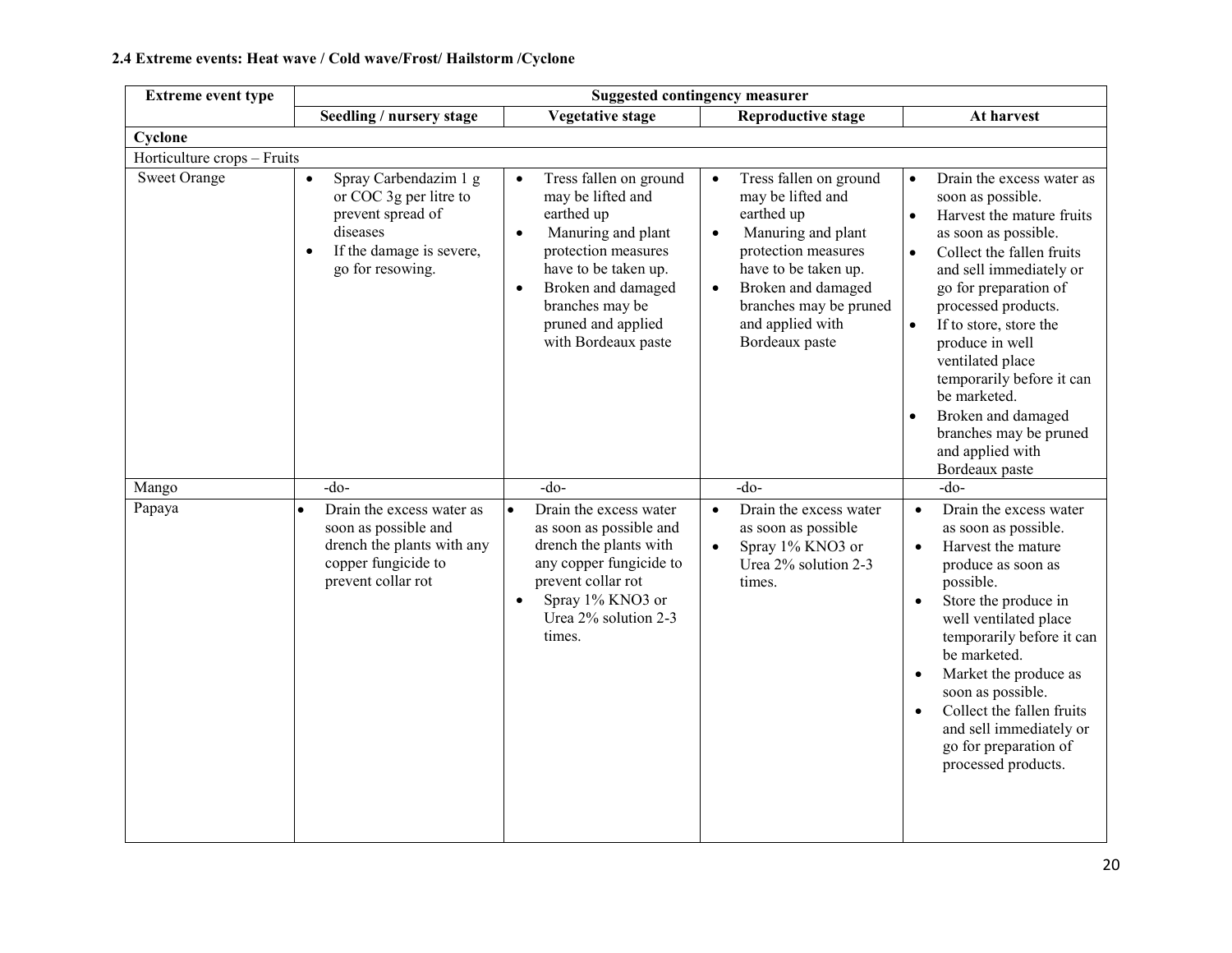# 2.4 Extreme events: Heat wave / Cold wave/Frost/ Hailstorm /Cyclone

| <b>Extreme event type</b>   | <b>Suggested contingency measurer</b>                                                                                                                      |                                                                                                                                                                                                                                                             |                                                                                                                                                                                                                                                             |                                                                                                                                                                                                                                                                                                                                                                                                                                                                     |
|-----------------------------|------------------------------------------------------------------------------------------------------------------------------------------------------------|-------------------------------------------------------------------------------------------------------------------------------------------------------------------------------------------------------------------------------------------------------------|-------------------------------------------------------------------------------------------------------------------------------------------------------------------------------------------------------------------------------------------------------------|---------------------------------------------------------------------------------------------------------------------------------------------------------------------------------------------------------------------------------------------------------------------------------------------------------------------------------------------------------------------------------------------------------------------------------------------------------------------|
|                             | Seedling / nursery stage                                                                                                                                   | Vegetative stage                                                                                                                                                                                                                                            | <b>Reproductive stage</b>                                                                                                                                                                                                                                   | At harvest                                                                                                                                                                                                                                                                                                                                                                                                                                                          |
| Cyclone                     |                                                                                                                                                            |                                                                                                                                                                                                                                                             |                                                                                                                                                                                                                                                             |                                                                                                                                                                                                                                                                                                                                                                                                                                                                     |
| Horticulture crops - Fruits |                                                                                                                                                            |                                                                                                                                                                                                                                                             |                                                                                                                                                                                                                                                             |                                                                                                                                                                                                                                                                                                                                                                                                                                                                     |
| <b>Sweet Orange</b>         | Spray Carbendazim 1 g<br>$\bullet$<br>or COC 3g per litre to<br>prevent spread of<br>diseases<br>If the damage is severe,<br>$\bullet$<br>go for resowing. | Tress fallen on ground<br>$\bullet$<br>may be lifted and<br>earthed up<br>Manuring and plant<br>$\bullet$<br>protection measures<br>have to be taken up.<br>Broken and damaged<br>$\bullet$<br>branches may be<br>pruned and applied<br>with Bordeaux paste | Tress fallen on ground<br>$\bullet$<br>may be lifted and<br>earthed up<br>Manuring and plant<br>$\bullet$<br>protection measures<br>have to be taken up.<br>Broken and damaged<br>$\bullet$<br>branches may be pruned<br>and applied with<br>Bordeaux paste | Drain the excess water as<br>$\bullet$<br>soon as possible.<br>Harvest the mature fruits<br>$\bullet$<br>as soon as possible.<br>Collect the fallen fruits<br>$\bullet$<br>and sell immediately or<br>go for preparation of<br>processed products.<br>If to store, store the<br>$\bullet$<br>produce in well<br>ventilated place<br>temporarily before it can<br>be marketed.<br>Broken and damaged<br>branches may be pruned<br>and applied with<br>Bordeaux paste |
| Mango                       | $-do$                                                                                                                                                      | $-do-$                                                                                                                                                                                                                                                      | $-do$                                                                                                                                                                                                                                                       | $-do$                                                                                                                                                                                                                                                                                                                                                                                                                                                               |
| Papaya                      | Drain the excess water as<br>soon as possible and<br>drench the plants with any<br>copper fungicide to<br>prevent collar rot                               | Drain the excess water<br>$\bullet$<br>as soon as possible and<br>drench the plants with<br>any copper fungicide to<br>prevent collar rot<br>Spray 1% KNO3 or<br>$\bullet$<br>Urea 2% solution 2-3<br>times.                                                | Drain the excess water<br>$\bullet$<br>as soon as possible<br>Spray 1% KNO3 or<br>$\bullet$<br>Urea 2% solution 2-3<br>times.                                                                                                                               | Drain the excess water<br>$\bullet$<br>as soon as possible.<br>Harvest the mature<br>$\bullet$<br>produce as soon as<br>possible.<br>Store the produce in<br>$\bullet$<br>well ventilated place<br>temporarily before it can<br>be marketed.<br>Market the produce as<br>$\bullet$<br>soon as possible.<br>Collect the fallen fruits<br>and sell immediately or<br>go for preparation of<br>processed products.                                                     |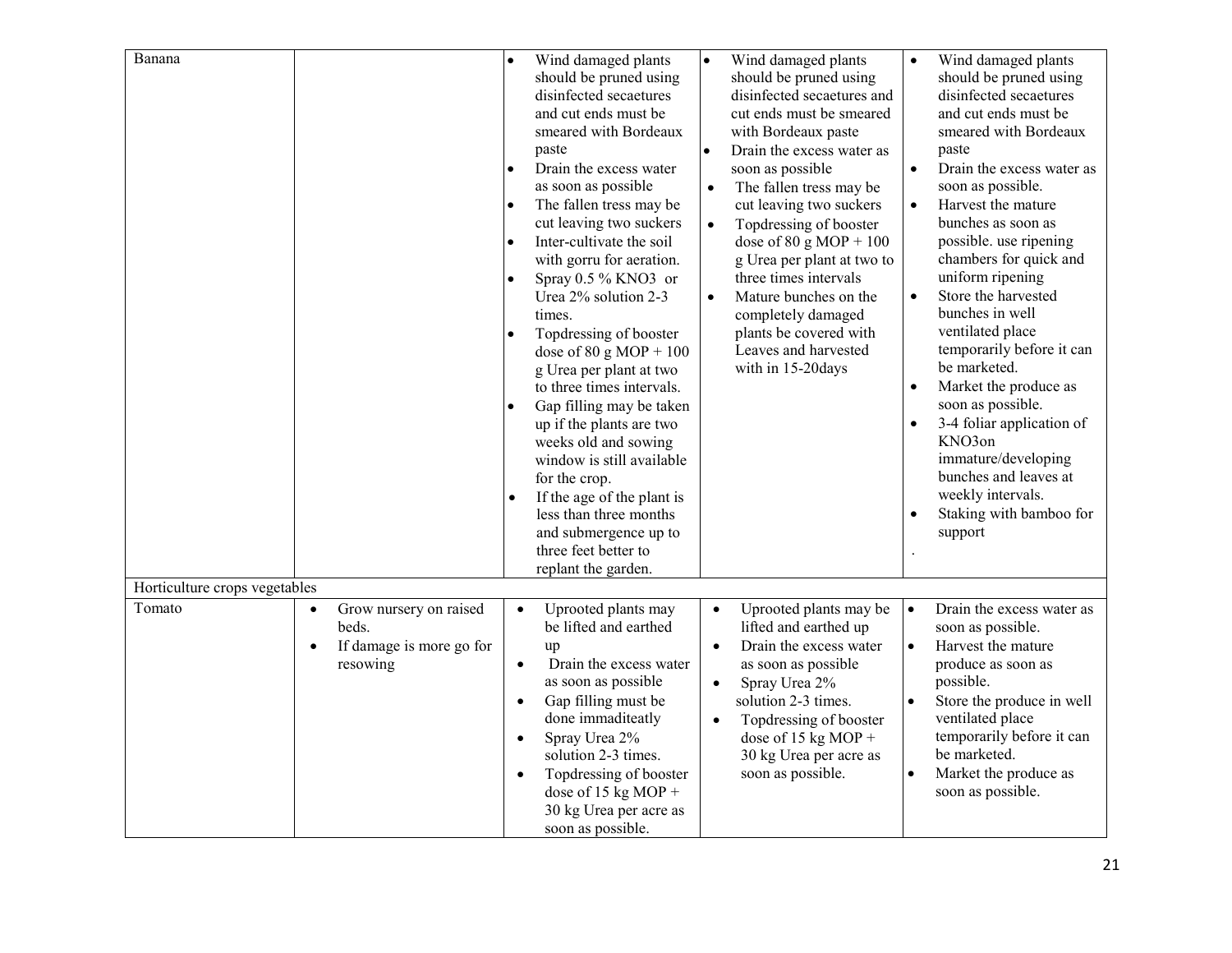| Banana                        |                                                                                                   | Wind damaged plants<br>should be pruned using<br>disinfected secaetures<br>and cut ends must be<br>smeared with Bordeaux<br>paste<br>Drain the excess water<br>as soon as possible<br>The fallen tress may be<br>cut leaving two suckers<br>Inter-cultivate the soil<br>$\bullet$<br>with gorru for aeration.<br>Spray $0.5\%$ KNO3 or<br>Urea 2% solution 2-3<br>times.<br>Topdressing of booster<br>dose of $80 \text{ g} \text{ MOP} + 100$<br>g Urea per plant at two<br>to three times intervals.<br>Gap filling may be taken<br>up if the plants are two<br>weeks old and sowing<br>window is still available<br>for the crop.<br>If the age of the plant is<br>less than three months<br>and submergence up to<br>three feet better to<br>replant the garden. | Wind damaged plants<br>$\bullet$<br>should be pruned using<br>disinfected secaetures and<br>cut ends must be smeared<br>with Bordeaux paste<br>$\bullet$<br>Drain the excess water as<br>soon as possible<br>The fallen tress may be<br>$\bullet$<br>cut leaving two suckers<br>Topdressing of booster<br>$\bullet$<br>dose of $80 \text{ g} \text{ MOP} + 100$<br>g Urea per plant at two to<br>three times intervals<br>$\bullet$<br>Mature bunches on the<br>completely damaged<br>plants be covered with<br>Leaves and harvested<br>with in 15-20days | Wind damaged plants<br>$\bullet$<br>should be pruned using<br>disinfected secaetures<br>and cut ends must be<br>smeared with Bordeaux<br>paste<br>$\bullet$<br>Drain the excess water as<br>soon as possible.<br>Harvest the mature<br>$\bullet$<br>bunches as soon as<br>possible. use ripening<br>chambers for quick and<br>uniform ripening<br>Store the harvested<br>$\bullet$<br>bunches in well<br>ventilated place<br>temporarily before it can<br>be marketed.<br>Market the produce as<br>soon as possible.<br>3-4 foliar application of<br>$\bullet$<br>KNO3on<br>immature/developing<br>bunches and leaves at<br>weekly intervals.<br>Staking with bamboo for<br>support |
|-------------------------------|---------------------------------------------------------------------------------------------------|----------------------------------------------------------------------------------------------------------------------------------------------------------------------------------------------------------------------------------------------------------------------------------------------------------------------------------------------------------------------------------------------------------------------------------------------------------------------------------------------------------------------------------------------------------------------------------------------------------------------------------------------------------------------------------------------------------------------------------------------------------------------|-----------------------------------------------------------------------------------------------------------------------------------------------------------------------------------------------------------------------------------------------------------------------------------------------------------------------------------------------------------------------------------------------------------------------------------------------------------------------------------------------------------------------------------------------------------|-------------------------------------------------------------------------------------------------------------------------------------------------------------------------------------------------------------------------------------------------------------------------------------------------------------------------------------------------------------------------------------------------------------------------------------------------------------------------------------------------------------------------------------------------------------------------------------------------------------------------------------------------------------------------------------|
| Horticulture crops vegetables |                                                                                                   |                                                                                                                                                                                                                                                                                                                                                                                                                                                                                                                                                                                                                                                                                                                                                                      |                                                                                                                                                                                                                                                                                                                                                                                                                                                                                                                                                           |                                                                                                                                                                                                                                                                                                                                                                                                                                                                                                                                                                                                                                                                                     |
| Tomato                        | Grow nursery on raised<br>$\bullet$<br>beds.<br>If damage is more go for<br>$\bullet$<br>resowing | Uprooted plants may<br>$\bullet$<br>be lifted and earthed<br>up<br>Drain the excess water<br>$\bullet$<br>as soon as possible<br>Gap filling must be<br>$\bullet$<br>done immaditeatly<br>Spray Urea 2%<br>$\bullet$<br>solution 2-3 times.<br>Topdressing of booster<br>$\bullet$<br>dose of 15 kg MOP +<br>30 kg Urea per acre as<br>soon as possible.                                                                                                                                                                                                                                                                                                                                                                                                             | Uprooted plants may be<br>$\bullet$<br>lifted and earthed up<br>Drain the excess water<br>$\bullet$<br>as soon as possible<br>Spray Urea 2%<br>$\bullet$<br>solution 2-3 times.<br>Topdressing of booster<br>$\bullet$<br>dose of $15$ kg MOP +<br>30 kg Urea per acre as<br>soon as possible.                                                                                                                                                                                                                                                            | Drain the excess water as<br>$\bullet$<br>soon as possible.<br>Harvest the mature<br>$\bullet$<br>produce as soon as<br>possible.<br>$\bullet$<br>Store the produce in well<br>ventilated place<br>temporarily before it can<br>be marketed.<br>Market the produce as<br>$\bullet$<br>soon as possible.                                                                                                                                                                                                                                                                                                                                                                             |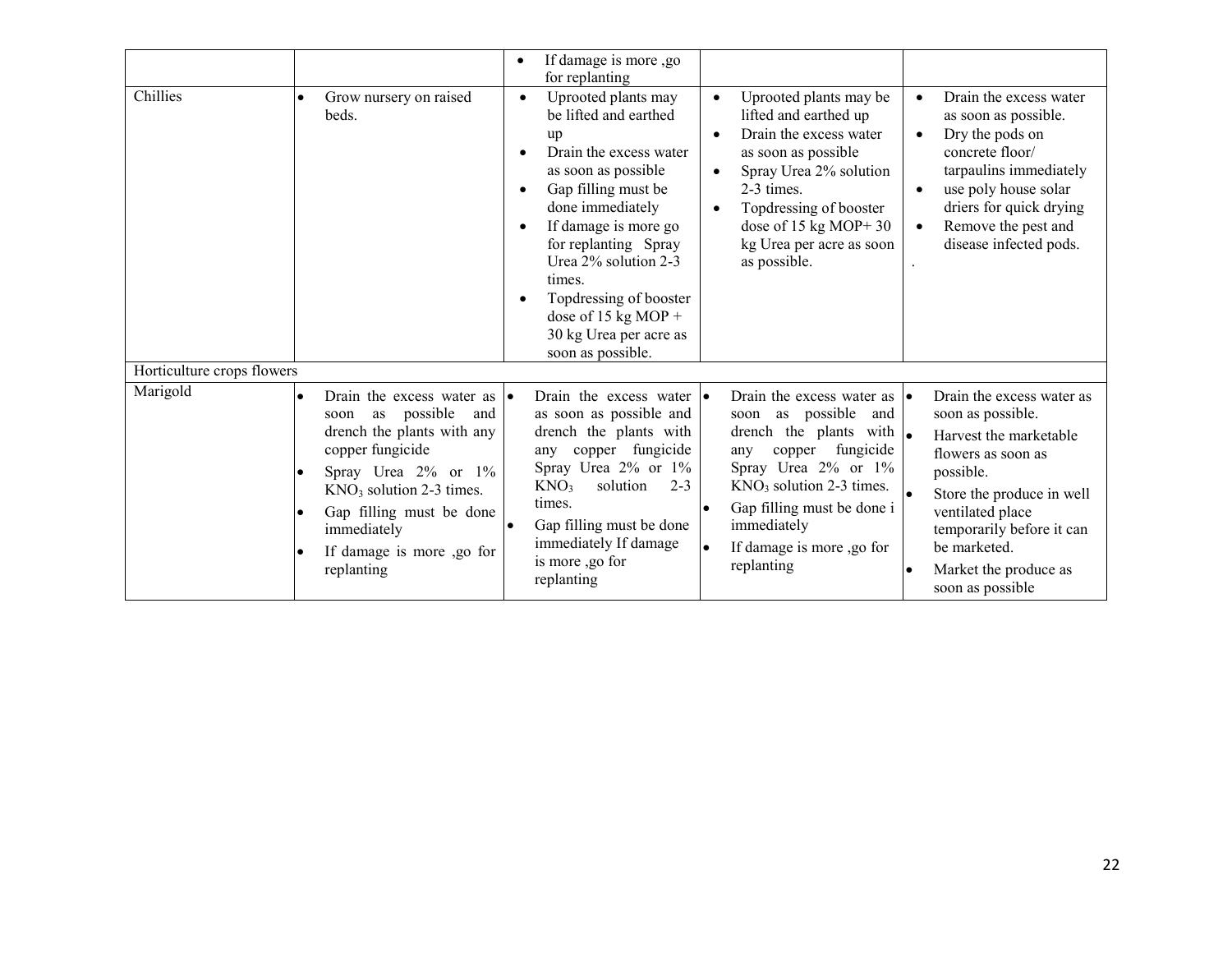| Chillies                   | Grow nursery on raised<br>$\bullet$<br>beds.                                                                                                                                                                                                                                      | If damage is more ,go<br>$\bullet$<br>for replanting<br>Uprooted plants may<br>$\bullet$<br>be lifted and earthed<br>up<br>Drain the excess water<br>$\bullet$<br>as soon as possible<br>Gap filling must be<br>$\bullet$<br>done immediately<br>If damage is more go<br>$\bullet$<br>for replanting Spray<br>Urea 2% solution 2-3<br>times. | Uprooted plants may be<br>lifted and earthed up<br>Drain the excess water<br>as soon as possible<br>Spray Urea 2% solution<br>2-3 times.<br>Topdressing of booster<br>dose of $15$ kg MOP+ 30<br>kg Urea per acre as soon<br>as possible.                                                                         | Drain the excess water<br>$\bullet$<br>as soon as possible.<br>Dry the pods on<br>$\bullet$<br>concrete floor/<br>tarpaulins immediately<br>use poly house solar<br>$\bullet$<br>driers for quick drying<br>Remove the pest and<br>$\bullet$<br>disease infected pods. |
|----------------------------|-----------------------------------------------------------------------------------------------------------------------------------------------------------------------------------------------------------------------------------------------------------------------------------|----------------------------------------------------------------------------------------------------------------------------------------------------------------------------------------------------------------------------------------------------------------------------------------------------------------------------------------------|-------------------------------------------------------------------------------------------------------------------------------------------------------------------------------------------------------------------------------------------------------------------------------------------------------------------|------------------------------------------------------------------------------------------------------------------------------------------------------------------------------------------------------------------------------------------------------------------------|
|                            |                                                                                                                                                                                                                                                                                   | Topdressing of booster<br>$\bullet$<br>dose of 15 kg MOP +<br>30 kg Urea per acre as<br>soon as possible.                                                                                                                                                                                                                                    |                                                                                                                                                                                                                                                                                                                   |                                                                                                                                                                                                                                                                        |
| Horticulture crops flowers |                                                                                                                                                                                                                                                                                   |                                                                                                                                                                                                                                                                                                                                              |                                                                                                                                                                                                                                                                                                                   |                                                                                                                                                                                                                                                                        |
| Marigold                   | Drain the excess water as<br>$\bullet$<br>possible<br>and<br>as<br>soon<br>drench the plants with any<br>copper fungicide<br>Spray Urea 2% or 1%<br>$KNO3$ solution 2-3 times.<br>Gap filling must be done<br>immediately<br>If damage is more ,go for<br>$\bullet$<br>replanting | Drain the excess water $\cdot$<br>as soon as possible and<br>drench the plants with<br>copper fungicide<br>any<br>Spray Urea 2% or 1%<br>KNO <sub>3</sub><br>solution<br>$2 - 3$<br>times.<br>Gap filling must be done<br>immediately If damage<br>is more ,go for<br>replanting                                                             | Drain the excess water as $  \bullet$<br>soon as possible<br>and<br>drench the plants with $\left  \bullet \right $<br>fungicide<br>copper<br>any<br>Spray Urea 2% or 1%<br>$KNO3$ solution 2-3 times.<br>Gap filling must be done i<br>lo<br>immediately<br>If damage is more ,go for<br>$\bullet$<br>replanting | Drain the excess water as<br>soon as possible.<br>Harvest the marketable<br>flowers as soon as<br>possible.<br>Store the produce in well<br>ventilated place<br>temporarily before it can<br>be marketed.<br>Market the produce as<br>soon as possible                 |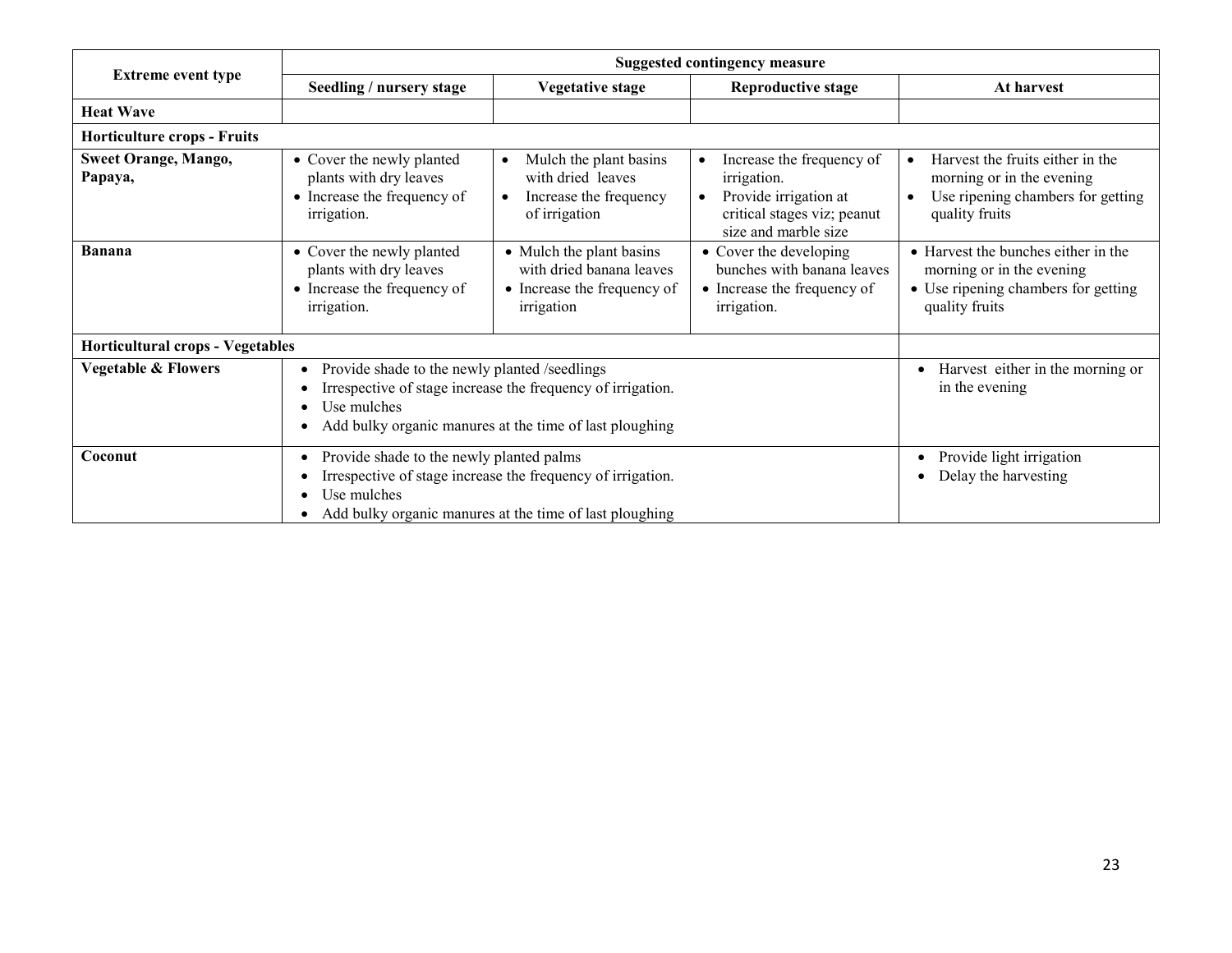|                                         | Suggested contingency measure                                                                                                                                                                       |                                                                                                                  |                                                                                                                                       |                                                                                                                           |  |  |
|-----------------------------------------|-----------------------------------------------------------------------------------------------------------------------------------------------------------------------------------------------------|------------------------------------------------------------------------------------------------------------------|---------------------------------------------------------------------------------------------------------------------------------------|---------------------------------------------------------------------------------------------------------------------------|--|--|
| <b>Extreme event type</b>               | Seedling / nursery stage                                                                                                                                                                            | <b>Vegetative stage</b>                                                                                          | <b>Reproductive stage</b>                                                                                                             | At harvest                                                                                                                |  |  |
| <b>Heat Wave</b>                        |                                                                                                                                                                                                     |                                                                                                                  |                                                                                                                                       |                                                                                                                           |  |  |
| <b>Horticulture crops - Fruits</b>      |                                                                                                                                                                                                     |                                                                                                                  |                                                                                                                                       |                                                                                                                           |  |  |
| <b>Sweet Orange, Mango,</b><br>Papaya,  | • Cover the newly planted<br>plants with dry leaves<br>• Increase the frequency of<br><i>irrigation.</i>                                                                                            | Mulch the plant basins<br>$\bullet$<br>with dried leaves<br>Increase the frequency<br>$\bullet$<br>of irrigation | Increase the frequency of<br>$\bullet$<br>irrigation.<br>Provide irrigation at<br>critical stages viz; peanut<br>size and marble size | Harvest the fruits either in the<br>morning or in the evening<br>Use ripening chambers for getting<br>quality fruits      |  |  |
| <b>Banana</b>                           | • Cover the newly planted<br>plants with dry leaves<br>• Increase the frequency of<br><i>irrigation.</i>                                                                                            | • Mulch the plant basins<br>with dried banana leaves<br>• Increase the frequency of<br>irrigation                | • Cover the developing<br>bunches with banana leaves<br>• Increase the frequency of<br><i>irrigation.</i>                             | • Harvest the bunches either in the<br>morning or in the evening<br>• Use ripening chambers for getting<br>quality fruits |  |  |
| <b>Horticultural crops - Vegetables</b> |                                                                                                                                                                                                     |                                                                                                                  |                                                                                                                                       |                                                                                                                           |  |  |
| <b>Vegetable &amp; Flowers</b>          | Provide shade to the newly planted /seedlings<br>$\bullet$<br>Irrespective of stage increase the frequency of irrigation.<br>Use mulches<br>Add bulky organic manures at the time of last ploughing | Harvest either in the morning or<br>$\bullet$<br>in the evening                                                  |                                                                                                                                       |                                                                                                                           |  |  |
| Coconut                                 | Provide shade to the newly planted palms<br>$\bullet$<br>Irrespective of stage increase the frequency of irrigation.<br>Use mulches<br>Add bulky organic manures at the time of last ploughing      |                                                                                                                  |                                                                                                                                       | Provide light irrigation<br>$\bullet$<br>Delay the harvesting                                                             |  |  |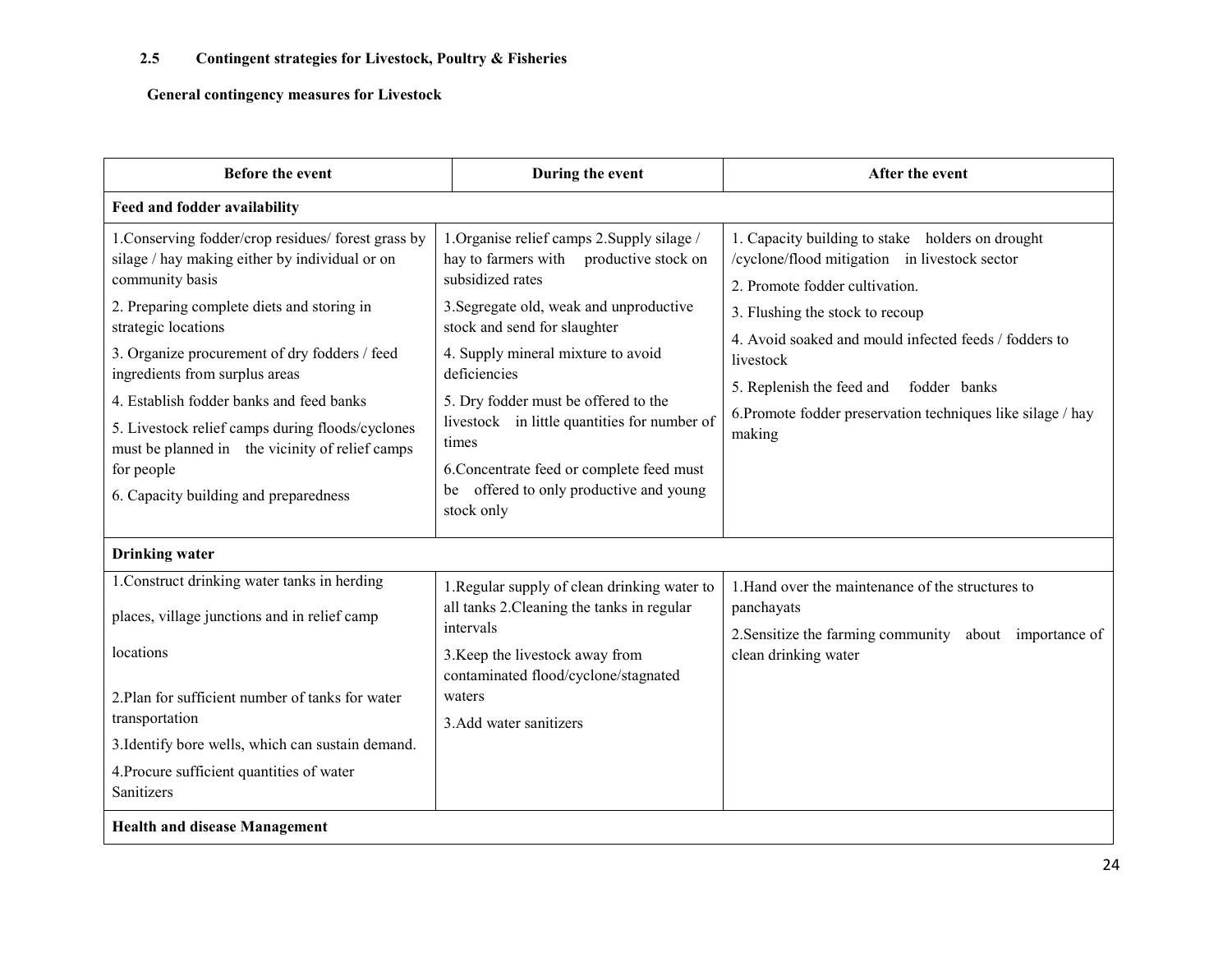General contingency measures for Livestock

| <b>Before the event</b>                                                                                                                                                                                                                                                                                                                                                                                                                                                                    | During the event                                                                                                                                                                                                                                                                                                                                                                                                                                      | After the event                                                                                                                                                                                                                                                                                                                                                 |
|--------------------------------------------------------------------------------------------------------------------------------------------------------------------------------------------------------------------------------------------------------------------------------------------------------------------------------------------------------------------------------------------------------------------------------------------------------------------------------------------|-------------------------------------------------------------------------------------------------------------------------------------------------------------------------------------------------------------------------------------------------------------------------------------------------------------------------------------------------------------------------------------------------------------------------------------------------------|-----------------------------------------------------------------------------------------------------------------------------------------------------------------------------------------------------------------------------------------------------------------------------------------------------------------------------------------------------------------|
| Feed and fodder availability                                                                                                                                                                                                                                                                                                                                                                                                                                                               |                                                                                                                                                                                                                                                                                                                                                                                                                                                       |                                                                                                                                                                                                                                                                                                                                                                 |
| 1. Conserving fodder/crop residues/ forest grass by<br>silage / hay making either by individual or on<br>community basis<br>2. Preparing complete diets and storing in<br>strategic locations<br>3. Organize procurement of dry fodders / feed<br>ingredients from surplus areas<br>4. Establish fodder banks and feed banks<br>5. Livestock relief camps during floods/cyclones<br>must be planned in the vicinity of relief camps<br>for people<br>6. Capacity building and preparedness | 1. Organise relief camps 2. Supply silage /<br>hay to farmers with productive stock on<br>subsidized rates<br>3. Segregate old, weak and unproductive<br>stock and send for slaughter<br>4. Supply mineral mixture to avoid<br>deficiencies<br>5. Dry fodder must be offered to the<br>livestock in little quantities for number of<br>times<br>6. Concentrate feed or complete feed must<br>offered to only productive and young<br>be<br>stock only | 1. Capacity building to stake holders on drought<br>/cyclone/flood mitigation in livestock sector<br>2. Promote fodder cultivation.<br>3. Flushing the stock to recoup<br>4. Avoid soaked and mould infected feeds / fodders to<br>livestock<br>5. Replenish the feed and fodder banks<br>6. Promote fodder preservation techniques like silage / hay<br>making |
| <b>Drinking</b> water                                                                                                                                                                                                                                                                                                                                                                                                                                                                      |                                                                                                                                                                                                                                                                                                                                                                                                                                                       |                                                                                                                                                                                                                                                                                                                                                                 |
| 1. Construct drinking water tanks in herding<br>places, village junctions and in relief camp<br>locations<br>2. Plan for sufficient number of tanks for water<br>transportation<br>3. Identify bore wells, which can sustain demand.<br>4. Procure sufficient quantities of water<br>Sanitizers                                                                                                                                                                                            | 1. Regular supply of clean drinking water to<br>all tanks 2. Cleaning the tanks in regular<br>intervals<br>3. Keep the livestock away from<br>contaminated flood/cyclone/stagnated<br>waters<br>3. Add water sanitizers                                                                                                                                                                                                                               | 1. Hand over the maintenance of the structures to<br>panchayats<br>2. Sensitize the farming community about importance of<br>clean drinking water                                                                                                                                                                                                               |
| <b>Health and disease Management</b>                                                                                                                                                                                                                                                                                                                                                                                                                                                       |                                                                                                                                                                                                                                                                                                                                                                                                                                                       |                                                                                                                                                                                                                                                                                                                                                                 |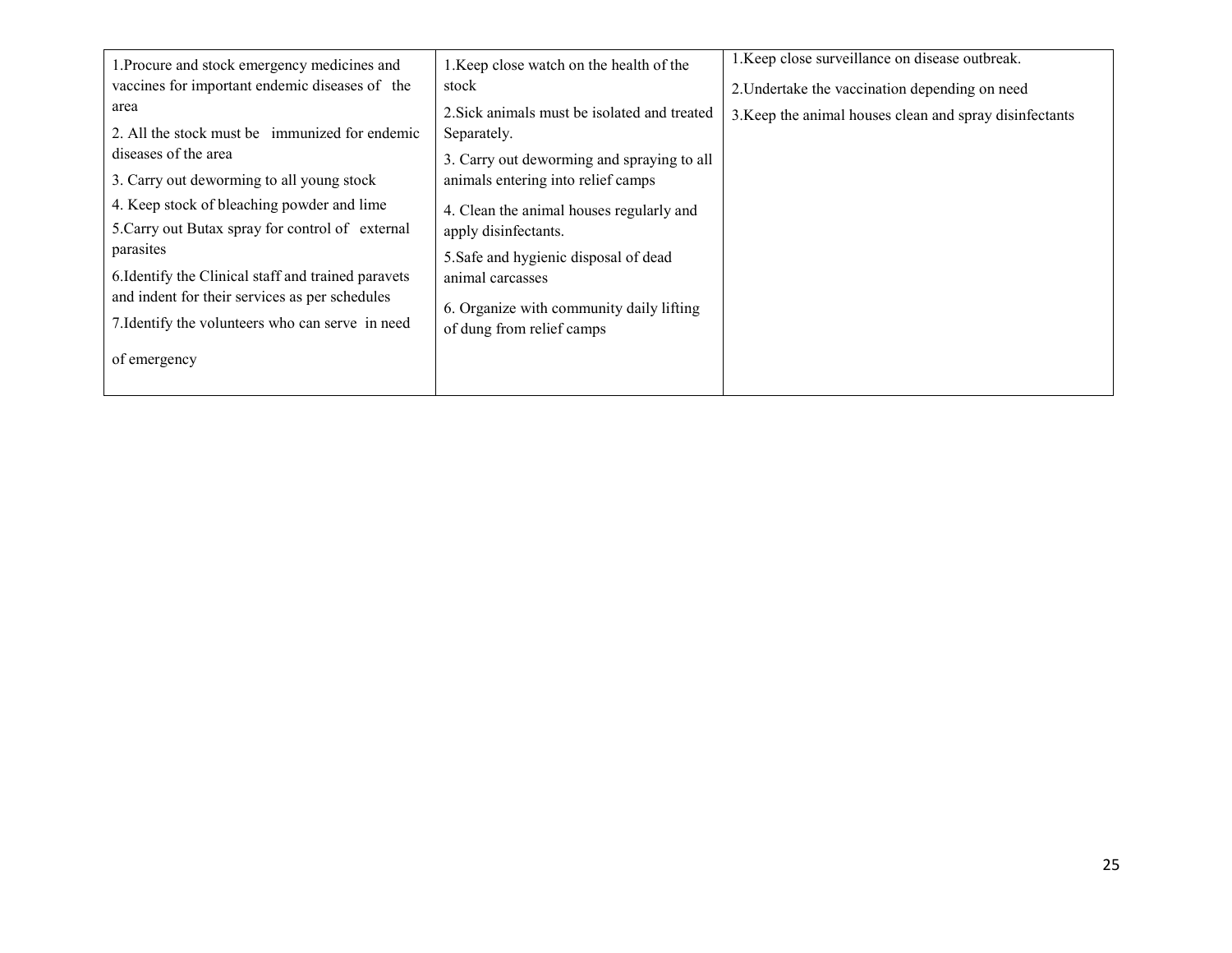| 1. Procure and stock emergency medicines and        | 1. Keep close watch on the health of the     | 1. Keep close surveillance on disease outbreak.         |
|-----------------------------------------------------|----------------------------------------------|---------------------------------------------------------|
| vaccines for important endemic diseases of the      | stock                                        | 2. Undertake the vaccination depending on need          |
| area                                                | 2. Sick animals must be isolated and treated | 3. Keep the animal houses clean and spray disinfectants |
| 2. All the stock must be immunized for endemic      | Separately.                                  |                                                         |
| diseases of the area                                | 3. Carry out deworming and spraying to all   |                                                         |
| 3. Carry out deworming to all young stock           | animals entering into relief camps           |                                                         |
| 4. Keep stock of bleaching powder and lime          | 4. Clean the animal houses regularly and     |                                                         |
| 5. Carry out Butax spray for control of external    | apply disinfectants.                         |                                                         |
| parasites                                           | 5. Safe and hygienic disposal of dead        |                                                         |
| 6. Identify the Clinical staff and trained paravets | animal carcasses                             |                                                         |
| and indent for their services as per schedules      | 6. Organize with community daily lifting     |                                                         |
| 7. Identify the volunteers who can serve in need    | of dung from relief camps                    |                                                         |
| of emergency                                        |                                              |                                                         |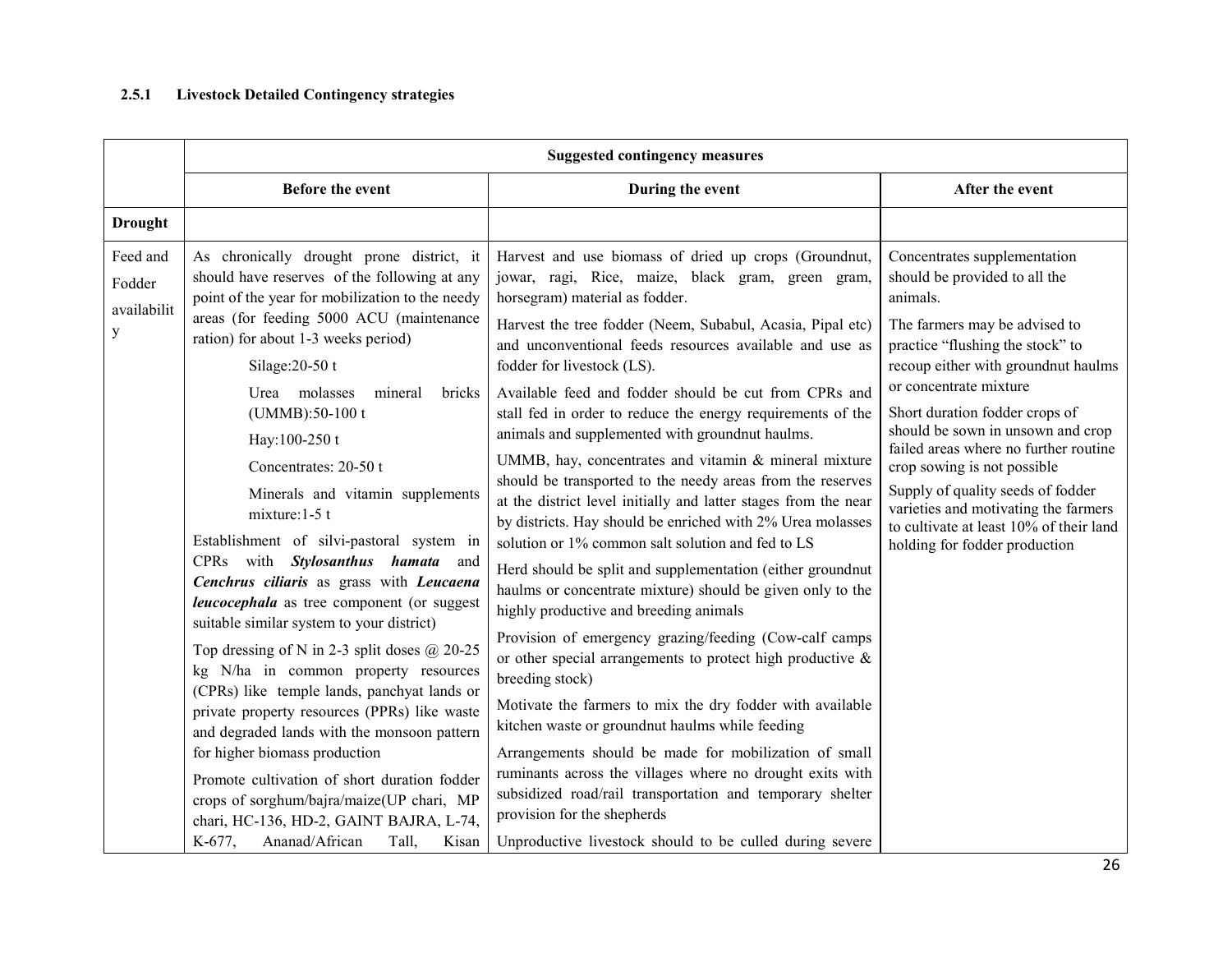#### 2.5.1Livestock Detailed Contingency strategies

|                                        | <b>Suggested contingency measures</b>                                                                                                                                                                                                                                                                                                                                                                                                                                                                                                                                                                                                                                                                                                                                                                                                                                                                                                                                                                                                                                                                          |                                                                                                                                                                                                                                                                                                                                                                                                                                                                                                                                                                                                                                                                                                                                                                                                                                                                                                                                                                                                                                                                                                                                                                                                                                                                                                                                                                                                                                                                                                               |                                                                                                                                                                                                                                                                                                                                                                                                                                                                                                                         |
|----------------------------------------|----------------------------------------------------------------------------------------------------------------------------------------------------------------------------------------------------------------------------------------------------------------------------------------------------------------------------------------------------------------------------------------------------------------------------------------------------------------------------------------------------------------------------------------------------------------------------------------------------------------------------------------------------------------------------------------------------------------------------------------------------------------------------------------------------------------------------------------------------------------------------------------------------------------------------------------------------------------------------------------------------------------------------------------------------------------------------------------------------------------|---------------------------------------------------------------------------------------------------------------------------------------------------------------------------------------------------------------------------------------------------------------------------------------------------------------------------------------------------------------------------------------------------------------------------------------------------------------------------------------------------------------------------------------------------------------------------------------------------------------------------------------------------------------------------------------------------------------------------------------------------------------------------------------------------------------------------------------------------------------------------------------------------------------------------------------------------------------------------------------------------------------------------------------------------------------------------------------------------------------------------------------------------------------------------------------------------------------------------------------------------------------------------------------------------------------------------------------------------------------------------------------------------------------------------------------------------------------------------------------------------------------|-------------------------------------------------------------------------------------------------------------------------------------------------------------------------------------------------------------------------------------------------------------------------------------------------------------------------------------------------------------------------------------------------------------------------------------------------------------------------------------------------------------------------|
|                                        | <b>Before the event</b>                                                                                                                                                                                                                                                                                                                                                                                                                                                                                                                                                                                                                                                                                                                                                                                                                                                                                                                                                                                                                                                                                        | During the event                                                                                                                                                                                                                                                                                                                                                                                                                                                                                                                                                                                                                                                                                                                                                                                                                                                                                                                                                                                                                                                                                                                                                                                                                                                                                                                                                                                                                                                                                              | After the event                                                                                                                                                                                                                                                                                                                                                                                                                                                                                                         |
| <b>Drought</b>                         |                                                                                                                                                                                                                                                                                                                                                                                                                                                                                                                                                                                                                                                                                                                                                                                                                                                                                                                                                                                                                                                                                                                |                                                                                                                                                                                                                                                                                                                                                                                                                                                                                                                                                                                                                                                                                                                                                                                                                                                                                                                                                                                                                                                                                                                                                                                                                                                                                                                                                                                                                                                                                                               |                                                                                                                                                                                                                                                                                                                                                                                                                                                                                                                         |
| Feed and<br>Fodder<br>availabilit<br>y | As chronically drought prone district, it<br>should have reserves of the following at any<br>point of the year for mobilization to the needy<br>areas (for feeding 5000 ACU (maintenance<br>ration) for about 1-3 weeks period)<br>Silage: $20-50$ t<br>Urea molasses<br>mineral<br>bricks<br>(UMMB):50-100 t<br>Hay:100-250 t<br>Concentrates: 20-50 t<br>Minerals and vitamin supplements<br>mixture: $1-5$ t<br>Establishment of silvi-pastoral system in<br>CPRs with Stylosanthus hamata and<br>Cenchrus ciliaris as grass with Leucaena<br><i>leucocephala</i> as tree component (or suggest<br>suitable similar system to your district)<br>Top dressing of N in 2-3 split doses $@$ 20-25<br>kg N/ha in common property resources<br>(CPRs) like temple lands, panchyat lands or<br>private property resources (PPRs) like waste<br>and degraded lands with the monsoon pattern<br>for higher biomass production<br>Promote cultivation of short duration fodder<br>crops of sorghum/bajra/maize(UP chari, MP<br>chari, HC-136, HD-2, GAINT BAJRA, L-74,<br>Ananad/African<br>K-677,<br>Tall,<br>Kisan | Harvest and use biomass of dried up crops (Groundnut,<br>jowar, ragi, Rice, maize, black gram, green gram,<br>horsegram) material as fodder.<br>Harvest the tree fodder (Neem, Subabul, Acasia, Pipal etc)<br>and unconventional feeds resources available and use as<br>fodder for livestock (LS).<br>Available feed and fodder should be cut from CPRs and<br>stall fed in order to reduce the energy requirements of the<br>animals and supplemented with groundnut haulms.<br>UMMB, hay, concentrates and vitamin & mineral mixture<br>should be transported to the needy areas from the reserves<br>at the district level initially and latter stages from the near<br>by districts. Hay should be enriched with 2% Urea molasses<br>solution or 1% common salt solution and fed to LS<br>Herd should be split and supplementation (either groundnut<br>haulms or concentrate mixture) should be given only to the<br>highly productive and breeding animals<br>Provision of emergency grazing/feeding (Cow-calf camps<br>or other special arrangements to protect high productive $\&$<br>breeding stock)<br>Motivate the farmers to mix the dry fodder with available<br>kitchen waste or groundnut haulms while feeding<br>Arrangements should be made for mobilization of small<br>ruminants across the villages where no drought exits with<br>subsidized road/rail transportation and temporary shelter<br>provision for the shepherds<br>Unproductive livestock should to be culled during severe | Concentrates supplementation<br>should be provided to all the<br>animals.<br>The farmers may be advised to<br>practice "flushing the stock" to<br>recoup either with groundnut haulms<br>or concentrate mixture<br>Short duration fodder crops of<br>should be sown in unsown and crop<br>failed areas where no further routine<br>crop sowing is not possible<br>Supply of quality seeds of fodder<br>varieties and motivating the farmers<br>to cultivate at least 10% of their land<br>holding for fodder production |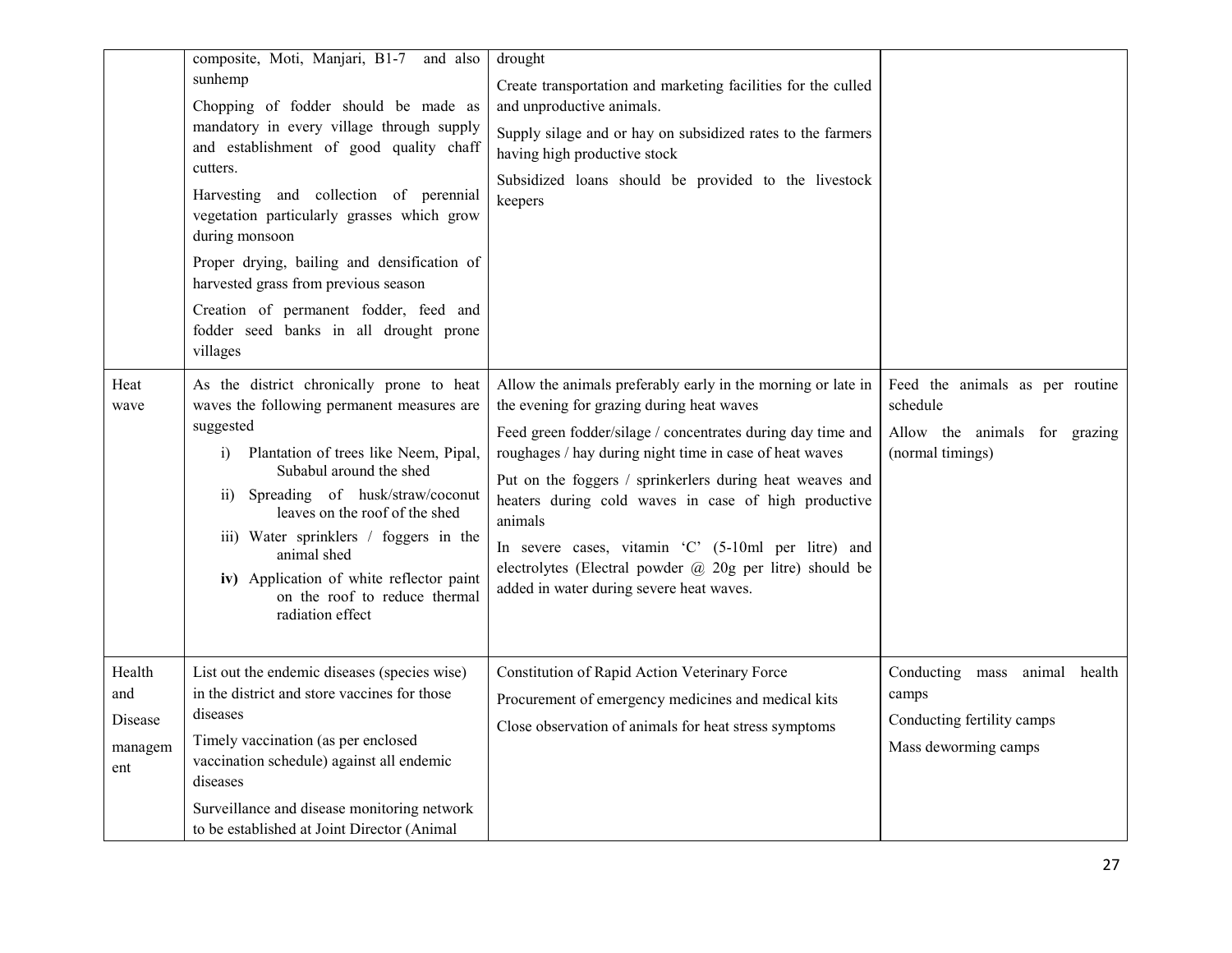|                                            | composite, Moti, Manjari, B1-7 and also<br>sunhemp<br>Chopping of fodder should be made as<br>mandatory in every village through supply<br>and establishment of good quality chaff<br>cutters.<br>Harvesting and collection of perennial<br>vegetation particularly grasses which grow<br>during monsoon<br>Proper drying, bailing and densification of<br>harvested grass from previous season<br>Creation of permanent fodder, feed and<br>fodder seed banks in all drought prone<br>villages | drought<br>Create transportation and marketing facilities for the culled<br>and unproductive animals.<br>Supply silage and or hay on subsidized rates to the farmers<br>having high productive stock<br>Subsidized loans should be provided to the livestock<br>keepers                                                                                                                                                                                                                                                           |                                                                                                  |
|--------------------------------------------|-------------------------------------------------------------------------------------------------------------------------------------------------------------------------------------------------------------------------------------------------------------------------------------------------------------------------------------------------------------------------------------------------------------------------------------------------------------------------------------------------|-----------------------------------------------------------------------------------------------------------------------------------------------------------------------------------------------------------------------------------------------------------------------------------------------------------------------------------------------------------------------------------------------------------------------------------------------------------------------------------------------------------------------------------|--------------------------------------------------------------------------------------------------|
| Heat<br>wave                               | As the district chronically prone to heat<br>waves the following permanent measures are<br>suggested<br>Plantation of trees like Neem, Pipal,<br>i)<br>Subabul around the shed<br>Spreading of husk/straw/coconut<br>$\overline{11}$<br>leaves on the roof of the shed<br>iii) Water sprinklers / foggers in the<br>animal shed<br>iv) Application of white reflector paint<br>on the roof to reduce thermal<br>radiation effect                                                                | Allow the animals preferably early in the morning or late in<br>the evening for grazing during heat waves<br>Feed green fodder/silage / concentrates during day time and<br>roughages / hay during night time in case of heat waves<br>Put on the foggers / sprinkerlers during heat weaves and<br>heaters during cold waves in case of high productive<br>animals<br>In severe cases, vitamin 'C' (5-10ml per litre) and<br>electrolytes (Electral powder @ 20g per litre) should be<br>added in water during severe heat waves. | Feed the animals as per routine<br>schedule<br>Allow the animals for grazing<br>(normal timings) |
| Health<br>and<br>Disease<br>managem<br>ent | List out the endemic diseases (species wise)<br>in the district and store vaccines for those<br>diseases<br>Timely vaccination (as per enclosed<br>vaccination schedule) against all endemic<br>diseases<br>Surveillance and disease monitoring network<br>to be established at Joint Director (Animal                                                                                                                                                                                          | Constitution of Rapid Action Veterinary Force<br>Procurement of emergency medicines and medical kits<br>Close observation of animals for heat stress symptoms                                                                                                                                                                                                                                                                                                                                                                     | Conducting mass animal health<br>camps<br>Conducting fertility camps<br>Mass deworming camps     |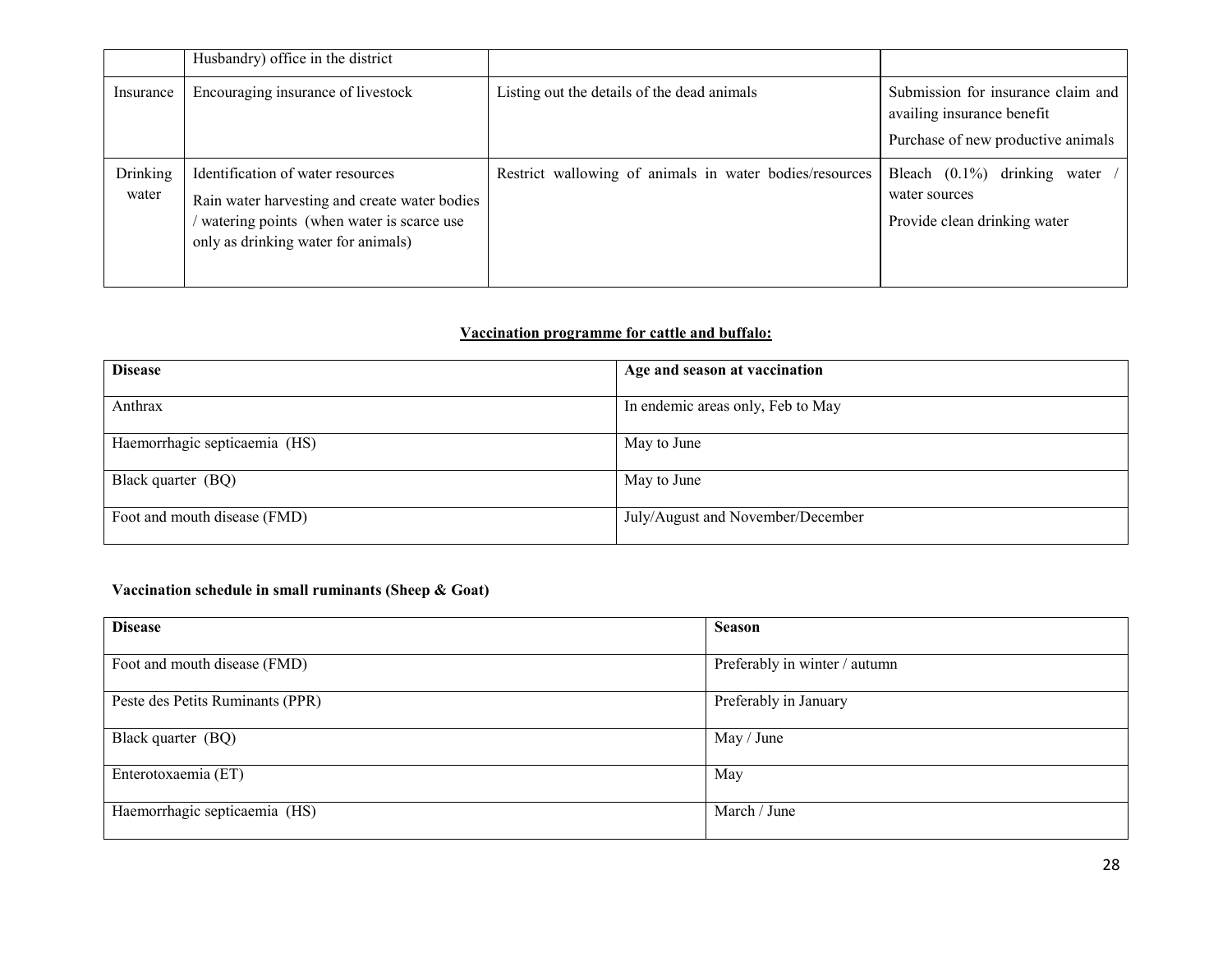|                          | Husbandry) office in the district                                                                                                                                      |                                                         |                                                                                                        |
|--------------------------|------------------------------------------------------------------------------------------------------------------------------------------------------------------------|---------------------------------------------------------|--------------------------------------------------------------------------------------------------------|
| Insurance                | Encouraging insurance of livestock                                                                                                                                     | Listing out the details of the dead animals             | Submission for insurance claim and<br>availing insurance benefit<br>Purchase of new productive animals |
| <b>Drinking</b><br>water | Identification of water resources<br>Rain water harvesting and create water bodies<br>watering points (when water is scarce use<br>only as drinking water for animals) | Restrict wallowing of animals in water bodies/resources | Bleach $(0.1\%)$<br>drinking water<br>water sources<br>Provide clean drinking water                    |

# Vaccination programme for cattle and buffalo:

| <b>Disease</b>                | Age and season at vaccination     |
|-------------------------------|-----------------------------------|
| Anthrax                       | In endemic areas only, Feb to May |
| Haemorrhagic septicaemia (HS) | May to June                       |
| Black quarter (BQ)            | May to June                       |
| Foot and mouth disease (FMD)  | July/August and November/December |

# Vaccination schedule in small ruminants (Sheep & Goat)

| <b>Disease</b>                   | <b>Season</b>                 |
|----------------------------------|-------------------------------|
| Foot and mouth disease (FMD)     | Preferably in winter / autumn |
| Peste des Petits Ruminants (PPR) | Preferably in January         |
| Black quarter (BQ)               | May / June                    |
| Enterotoxaemia (ET)              | May                           |
| Haemorrhagic septicaemia (HS)    | March / June                  |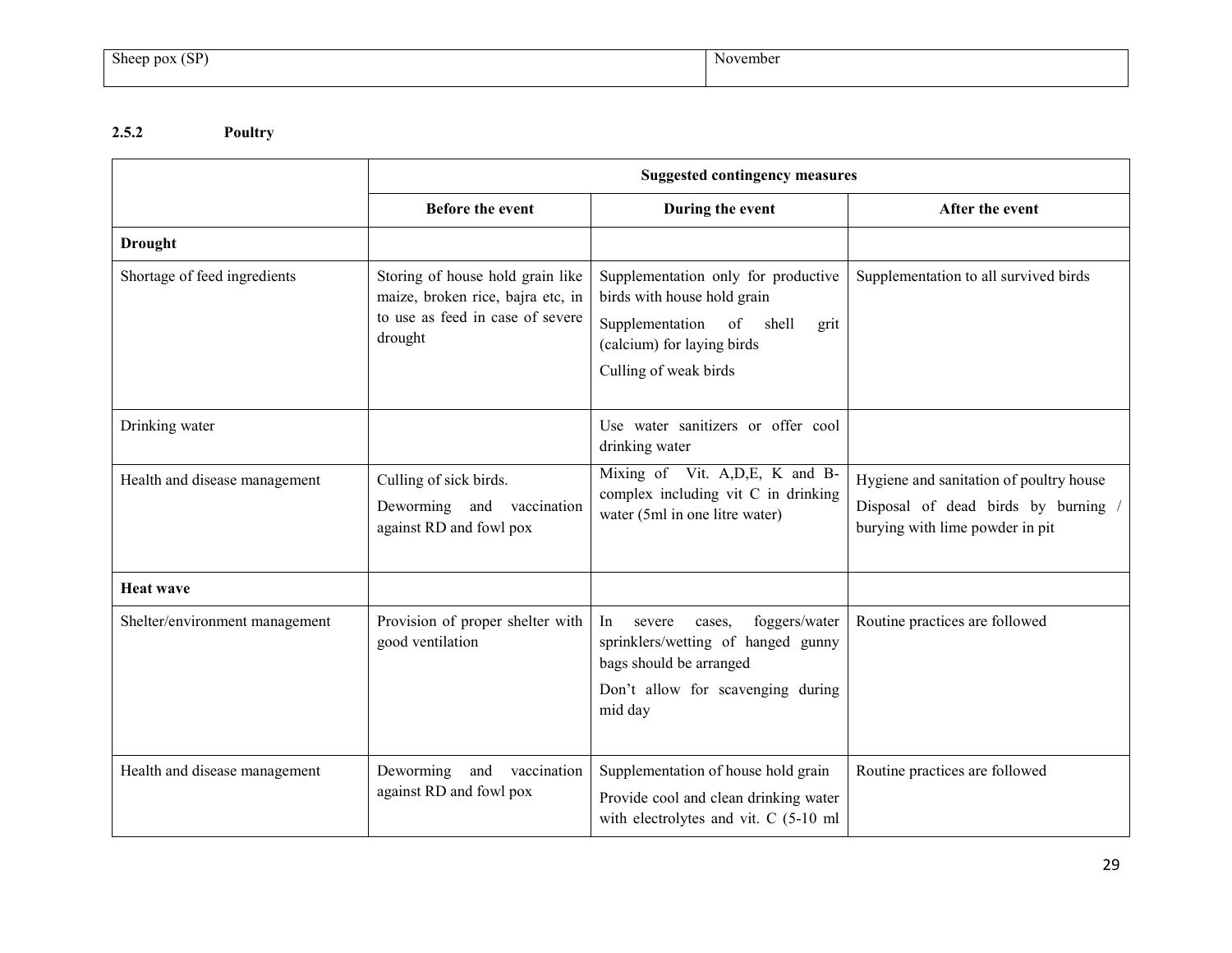## 2.5.2 Poultry

|                                | <b>Suggested contingency measures</b>                                                                                |                                                                                                                                                               |                                                                                                                 |
|--------------------------------|----------------------------------------------------------------------------------------------------------------------|---------------------------------------------------------------------------------------------------------------------------------------------------------------|-----------------------------------------------------------------------------------------------------------------|
|                                | <b>Before the event</b>                                                                                              | During the event                                                                                                                                              | After the event                                                                                                 |
| <b>Drought</b>                 |                                                                                                                      |                                                                                                                                                               |                                                                                                                 |
| Shortage of feed ingredients   | Storing of house hold grain like<br>maize, broken rice, bajra etc, in<br>to use as feed in case of severe<br>drought | Supplementation only for productive<br>birds with house hold grain<br>Supplementation of shell<br>grit<br>(calcium) for laying birds<br>Culling of weak birds | Supplementation to all survived birds                                                                           |
| Drinking water                 |                                                                                                                      | Use water sanitizers or offer cool<br>drinking water                                                                                                          |                                                                                                                 |
| Health and disease management  | Culling of sick birds.<br>Deworming and vaccination<br>against RD and fowl pox                                       | Mixing of Vit. A, D, E, K and B-<br>complex including vit C in drinking<br>water (5ml in one litre water)                                                     | Hygiene and sanitation of poultry house<br>Disposal of dead birds by burning<br>burying with lime powder in pit |
| <b>Heat wave</b>               |                                                                                                                      |                                                                                                                                                               |                                                                                                                 |
| Shelter/environment management | Provision of proper shelter with<br>good ventilation                                                                 | foggers/water<br>In<br>severe<br>cases.<br>sprinklers/wetting of hanged gunny<br>bags should be arranged<br>Don't allow for scavenging during<br>mid day      | Routine practices are followed                                                                                  |
| Health and disease management  | Deworming and vaccination<br>against RD and fowl pox                                                                 | Supplementation of house hold grain<br>Provide cool and clean drinking water<br>with electrolytes and vit. C (5-10 ml                                         | Routine practices are followed                                                                                  |